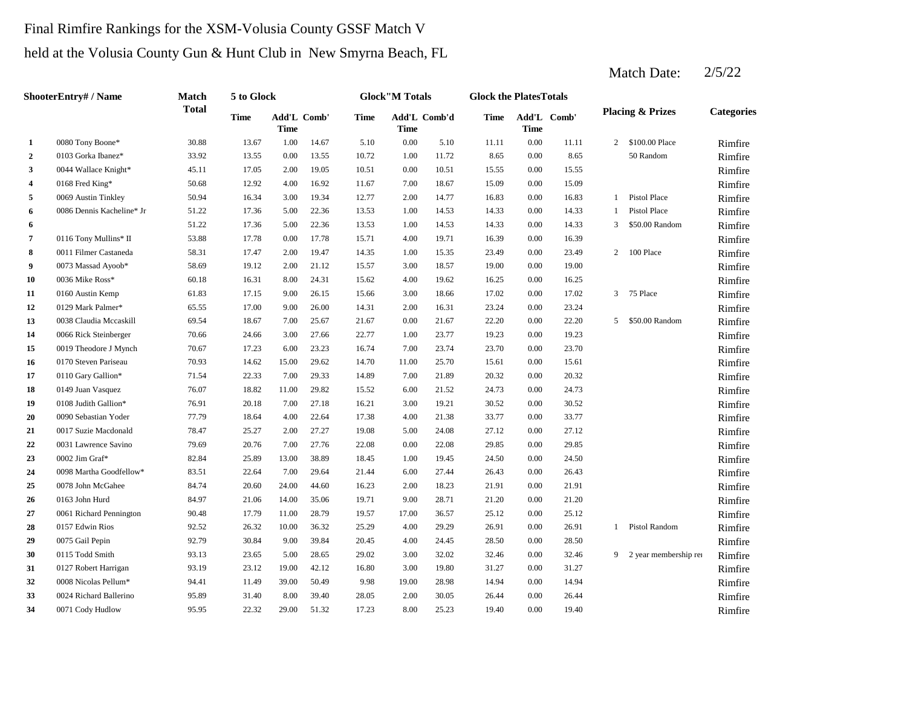# Final Rimfire Rankings for the XSM-Volusia County GSSF Match V held at the Volusia County Gun & Hunt Club in New Smyrna Beach, FL

|                         | ShooterEntry# / Name      | <b>Match</b> | 5 to Glock  |                     |       |             | <b>Glock</b> "M Totals |              | <b>Glock the PlatesTotals</b> |             |             |              |                             |                   |
|-------------------------|---------------------------|--------------|-------------|---------------------|-------|-------------|------------------------|--------------|-------------------------------|-------------|-------------|--------------|-----------------------------|-------------------|
|                         |                           | <b>Total</b> | <b>Time</b> | Add'L Comb'<br>Time |       | <b>Time</b> | <b>Time</b>            | Add'L Comb'd | <b>Time</b>                   | <b>Time</b> | Add'L Comb' |              | <b>Placing &amp; Prizes</b> | <b>Categories</b> |
| 1                       | 0080 Tony Boone*          | 30.88        | 13.67       | 1.00                | 14.67 | 5.10        | 0.00                   | 5.10         | 11.11                         | 0.00        | 11.11       | 2            | \$100.00 Place              | Rimfire           |
| $\overline{2}$          | 0103 Gorka Ibanez*        | 33.92        | 13.55       | 0.00                | 13.55 | 10.72       | 1.00                   | 11.72        | 8.65                          | 0.00        | 8.65        |              | 50 Random                   | Rimfire           |
| 3                       | 0044 Wallace Knight*      | 45.11        | 17.05       | 2.00                | 19.05 | 10.51       | 0.00                   | 10.51        | 15.55                         | 0.00        | 15.55       |              |                             | Rimfire           |
| $\overline{\mathbf{4}}$ | 0168 Fred King*           | 50.68        | 12.92       | 4.00                | 16.92 | 11.67       | 7.00                   | 18.67        | 15.09                         | 0.00        | 15.09       |              |                             | Rimfire           |
| 5                       | 0069 Austin Tinkley       | 50.94        | 16.34       | 3.00                | 19.34 | 12.77       | 2.00                   | 14.77        | 16.83                         | 0.00        | 16.83       | 1            | Pistol Place                | Rimfire           |
| 6                       | 0086 Dennis Kacheline* Jr | 51.22        | 17.36       | 5.00                | 22.36 | 13.53       | 1.00                   | 14.53        | 14.33                         | 0.00        | 14.33       | $\mathbf{1}$ | Pistol Place                | Rimfire           |
| 6                       |                           | 51.22        | 17.36       | 5.00                | 22.36 | 13.53       | 1.00                   | 14.53        | 14.33                         | 0.00        | 14.33       | 3            | \$50.00 Random              | Rimfire           |
| 7                       | 0116 Tony Mullins* II     | 53.88        | 17.78       | 0.00                | 17.78 | 15.71       | 4.00                   | 19.71        | 16.39                         | 0.00        | 16.39       |              |                             | Rimfire           |
| 8                       | 0011 Filmer Castaneda     | 58.31        | 17.47       | 2.00                | 19.47 | 14.35       | 1.00                   | 15.35        | 23.49                         | 0.00        | 23.49       |              | 2 100 Place                 | Rimfire           |
| 9                       | 0073 Massad Ayoob*        | 58.69        | 19.12       | 2.00                | 21.12 | 15.57       | 3.00                   | 18.57        | 19.00                         | 0.00        | 19.00       |              |                             | Rimfire           |
| 10                      | 0036 Mike Ross*           | 60.18        | 16.31       | 8.00                | 24.31 | 15.62       | 4.00                   | 19.62        | 16.25                         | 0.00        | 16.25       |              |                             | Rimfire           |
| 11                      | 0160 Austin Kemp          | 61.83        | 17.15       | 9.00                | 26.15 | 15.66       | 3.00                   | 18.66        | 17.02                         | 0.00        | 17.02       | 3            | 75 Place                    | Rimfire           |
| 12                      | 0129 Mark Palmer*         | 65.55        | 17.00       | 9.00                | 26.00 | 14.31       | 2.00                   | 16.31        | 23.24                         | 0.00        | 23.24       |              |                             | Rimfire           |
| 13                      | 0038 Claudia Mccaskill    | 69.54        | 18.67       | 7.00                | 25.67 | 21.67       | 0.00                   | 21.67        | 22.20                         | 0.00        | 22.20       | 5            | \$50.00 Random              | Rimfire           |
| 14                      | 0066 Rick Steinberger     | 70.66        | 24.66       | 3.00                | 27.66 | 22.77       | 1.00                   | 23.77        | 19.23                         | 0.00        | 19.23       |              |                             | Rimfire           |
| 15                      | 0019 Theodore J Mynch     | 70.67        | 17.23       | 6.00                | 23.23 | 16.74       | 7.00                   | 23.74        | 23.70                         | 0.00        | 23.70       |              |                             | Rimfire           |
| 16                      | 0170 Steven Pariseau      | 70.93        | 14.62       | 15.00               | 29.62 | 14.70       | 11.00                  | 25.70        | 15.61                         | 0.00        | 15.61       |              |                             | Rimfire           |
| 17                      | 0110 Gary Gallion*        | 71.54        | 22.33       | 7.00                | 29.33 | 14.89       | 7.00                   | 21.89        | 20.32                         | 0.00        | 20.32       |              |                             | Rimfire           |
| 18                      | 0149 Juan Vasquez         | 76.07        | 18.82       | 11.00               | 29.82 | 15.52       | 6.00                   | 21.52        | 24.73                         | 0.00        | 24.73       |              |                             | Rimfire           |
| 19                      | 0108 Judith Gallion*      | 76.91        | 20.18       | 7.00                | 27.18 | 16.21       | 3.00                   | 19.21        | 30.52                         | 0.00        | 30.52       |              |                             | Rimfire           |
| 20                      | 0090 Sebastian Yoder      | 77.79        | 18.64       | 4.00                | 22.64 | 17.38       | 4.00                   | 21.38        | 33.77                         | 0.00        | 33.77       |              |                             | Rimfire           |
| 21                      | 0017 Suzie Macdonald      | 78.47        | 25.27       | 2.00                | 27.27 | 19.08       | 5.00                   | 24.08        | 27.12                         | 0.00        | 27.12       |              |                             | Rimfire           |
| 22                      | 0031 Lawrence Savino      | 79.69        | 20.76       | 7.00                | 27.76 | 22.08       | 0.00                   | 22.08        | 29.85                         | 0.00        | 29.85       |              |                             | Rimfire           |
| 23                      | 0002 Jim Graf*            | 82.84        | 25.89       | 13.00               | 38.89 | 18.45       | 1.00                   | 19.45        | 24.50                         | 0.00        | 24.50       |              |                             | Rimfire           |
| 24                      | 0098 Martha Goodfellow*   | 83.51        | 22.64       | 7.00                | 29.64 | 21.44       | 6.00                   | 27.44        | 26.43                         | 0.00        | 26.43       |              |                             | Rimfire           |
| 25                      | 0078 John McGahee         | 84.74        | 20.60       | 24.00               | 44.60 | 16.23       | 2.00                   | 18.23        | 21.91                         | 0.00        | 21.91       |              |                             | Rimfire           |
| 26                      | 0163 John Hurd            | 84.97        | 21.06       | 14.00               | 35.06 | 19.71       | 9.00                   | 28.71        | 21.20                         | 0.00        | 21.20       |              |                             | Rimfire           |
| 27                      | 0061 Richard Pennington   | 90.48        | 17.79       | 11.00               | 28.79 | 19.57       | 17.00                  | 36.57        | 25.12                         | 0.00        | 25.12       |              |                             | Rimfire           |
| 28                      | 0157 Edwin Rios           | 92.52        | 26.32       | 10.00               | 36.32 | 25.29       | 4.00                   | 29.29        | 26.91                         | 0.00        | 26.91       | $\mathbf{1}$ | Pistol Random               | Rimfire           |
| 29                      | 0075 Gail Pepin           | 92.79        | 30.84       | 9.00                | 39.84 | 20.45       | 4.00                   | 24.45        | 28.50                         | 0.00        | 28.50       |              |                             | Rimfire           |
| 30                      | 0115 Todd Smith           | 93.13        | 23.65       | 5.00                | 28.65 | 29.02       | 3.00                   | 32.02        | 32.46                         | 0.00        | 32.46       |              | 9 2 year membership rea     | Rimfire           |
| 31                      | 0127 Robert Harrigan      | 93.19        | 23.12       | 19.00               | 42.12 | 16.80       | 3.00                   | 19.80        | 31.27                         | 0.00        | 31.27       |              |                             | Rimfire           |
| 32                      | 0008 Nicolas Pellum*      | 94.41        | 11.49       | 39.00               | 50.49 | 9.98        | 19.00                  | 28.98        | 14.94                         | 0.00        | 14.94       |              |                             | Rimfire           |
| 33                      | 0024 Richard Ballerino    | 95.89        | 31.40       | 8.00                | 39.40 | 28.05       | 2.00                   | 30.05        | 26.44                         | 0.00        | 26.44       |              |                             | Rimfire           |
| 34                      | 0071 Cody Hudlow          | 95.95        | 22.32       | 29.00               | 51.32 | 17.23       | 8.00                   | 25.23        | 19.40                         | 0.00        | 19.40       |              |                             | Rimfire           |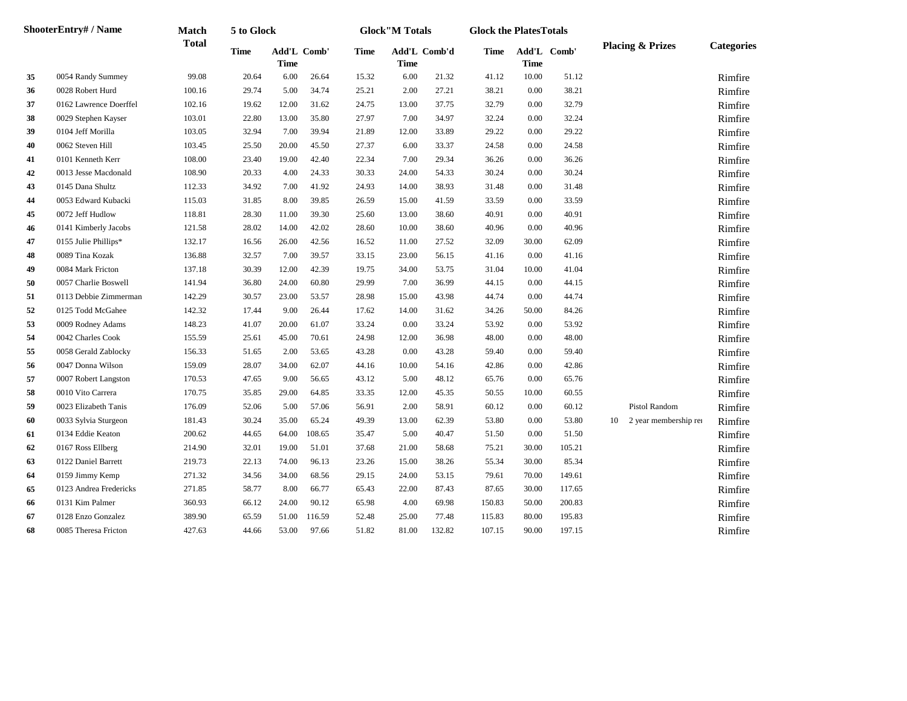|    | ShooterEntry# / Name   | Match        | 5 to Glock  |                            |        |             | <b>Glock</b> "M Totals |              | <b>Glock the PlatesTotals</b> |                            |        |    |                             |                   |
|----|------------------------|--------------|-------------|----------------------------|--------|-------------|------------------------|--------------|-------------------------------|----------------------------|--------|----|-----------------------------|-------------------|
|    |                        | <b>Total</b> | <b>Time</b> | Add'L Comb'<br><b>Time</b> |        | <b>Time</b> | <b>Time</b>            | Add'L Comb'd | Time                          | Add'L Comb'<br><b>Time</b> |        |    | <b>Placing &amp; Prizes</b> | <b>Categories</b> |
| 35 | 0054 Randy Summey      | 99.08        | 20.64       | 6.00                       | 26.64  | 15.32       | 6.00                   | 21.32        | 41.12                         | 10.00                      | 51.12  |    |                             | Rimfire           |
| 36 | 0028 Robert Hurd       | 100.16       | 29.74       | 5.00                       | 34.74  | 25.21       | 2.00                   | 27.21        | 38.21                         | 0.00                       | 38.21  |    |                             | Rimfire           |
| 37 | 0162 Lawrence Doerffel | 102.16       | 19.62       | 12.00                      | 31.62  | 24.75       | 13.00                  | 37.75        | 32.79                         | 0.00                       | 32.79  |    |                             | Rimfire           |
| 38 | 0029 Stephen Kayser    | 103.01       | 22.80       | 13.00                      | 35.80  | 27.97       | 7.00                   | 34.97        | 32.24                         | 0.00                       | 32.24  |    |                             | Rimfire           |
| 39 | 0104 Jeff Morilla      | 103.05       | 32.94       | 7.00                       | 39.94  | 21.89       | 12.00                  | 33.89        | 29.22                         | 0.00                       | 29.22  |    |                             | Rimfire           |
| 40 | 0062 Steven Hill       | 103.45       | 25.50       | 20.00                      | 45.50  | 27.37       | 6.00                   | 33.37        | 24.58                         | 0.00                       | 24.58  |    |                             | Rimfire           |
| 41 | 0101 Kenneth Kerr      | 108.00       | 23.40       | 19.00                      | 42.40  | 22.34       | 7.00                   | 29.34        | 36.26                         | 0.00                       | 36.26  |    |                             | Rimfire           |
| 42 | 0013 Jesse Macdonald   | 108.90       | 20.33       | 4.00                       | 24.33  | 30.33       | 24.00                  | 54.33        | 30.24                         | 0.00                       | 30.24  |    |                             | Rimfire           |
| 43 | 0145 Dana Shultz       | 112.33       | 34.92       | 7.00                       | 41.92  | 24.93       | 14.00                  | 38.93        | 31.48                         | 0.00                       | 31.48  |    |                             | Rimfire           |
| 44 | 0053 Edward Kubacki    | 115.03       | 31.85       | 8.00                       | 39.85  | 26.59       | 15.00                  | 41.59        | 33.59                         | 0.00                       | 33.59  |    |                             | Rimfire           |
| 45 | 0072 Jeff Hudlow       | 118.81       | 28.30       | 11.00                      | 39.30  | 25.60       | 13.00                  | 38.60        | 40.91                         | 0.00                       | 40.91  |    |                             | Rimfire           |
| 46 | 0141 Kimberly Jacobs   | 121.58       | 28.02       | 14.00                      | 42.02  | 28.60       | 10.00                  | 38.60        | 40.96                         | 0.00                       | 40.96  |    |                             | Rimfire           |
| 47 | 0155 Julie Phillips*   | 132.17       | 16.56       | 26.00                      | 42.56  | 16.52       | 11.00                  | 27.52        | 32.09                         | 30.00                      | 62.09  |    |                             | Rimfire           |
| 48 | 0089 Tina Kozak        | 136.88       | 32.57       | 7.00                       | 39.57  | 33.15       | 23.00                  | 56.15        | 41.16                         | 0.00                       | 41.16  |    |                             | Rimfire           |
| 49 | 0084 Mark Fricton      | 137.18       | 30.39       | 12.00                      | 42.39  | 19.75       | 34.00                  | 53.75        | 31.04                         | 10.00                      | 41.04  |    |                             | Rimfire           |
| 50 | 0057 Charlie Boswell   | 141.94       | 36.80       | 24.00                      | 60.80  | 29.99       | 7.00                   | 36.99        | 44.15                         | 0.00                       | 44.15  |    |                             | Rimfire           |
| 51 | 0113 Debbie Zimmerman  | 142.29       | 30.57       | 23.00                      | 53.57  | 28.98       | 15.00                  | 43.98        | 44.74                         | 0.00                       | 44.74  |    |                             | Rimfire           |
| 52 | 0125 Todd McGahee      | 142.32       | 17.44       | 9.00                       | 26.44  | 17.62       | 14.00                  | 31.62        | 34.26                         | 50.00                      | 84.26  |    |                             | Rimfire           |
| 53 | 0009 Rodney Adams      | 148.23       | 41.07       | 20.00                      | 61.07  | 33.24       | 0.00                   | 33.24        | 53.92                         | 0.00                       | 53.92  |    |                             | Rimfire           |
| 54 | 0042 Charles Cook      | 155.59       | 25.61       | 45.00                      | 70.61  | 24.98       | 12.00                  | 36.98        | 48.00                         | 0.00                       | 48.00  |    |                             | Rimfire           |
| 55 | 0058 Gerald Zablocky   | 156.33       | 51.65       | 2.00                       | 53.65  | 43.28       | 0.00                   | 43.28        | 59.40                         | 0.00                       | 59.40  |    |                             | Rimfire           |
| 56 | 0047 Donna Wilson      | 159.09       | 28.07       | 34.00                      | 62.07  | 44.16       | 10.00                  | 54.16        | 42.86                         | 0.00                       | 42.86  |    |                             | Rimfire           |
| 57 | 0007 Robert Langston   | 170.53       | 47.65       | 9.00                       | 56.65  | 43.12       | 5.00                   | 48.12        | 65.76                         | 0.00                       | 65.76  |    |                             | Rimfire           |
| 58 | 0010 Vito Carrera      | 170.75       | 35.85       | 29.00                      | 64.85  | 33.35       | 12.00                  | 45.35        | 50.55                         | 10.00                      | 60.55  |    |                             | Rimfire           |
| 59 | 0023 Elizabeth Tanis   | 176.09       | 52.06       | 5.00                       | 57.06  | 56.91       | 2.00                   | 58.91        | 60.12                         | 0.00                       | 60.12  |    | Pistol Random               | Rimfire           |
| 60 | 0033 Sylvia Sturgeon   | 181.43       | 30.24       | 35.00                      | 65.24  | 49.39       | 13.00                  | 62.39        | 53.80                         | 0.00                       | 53.80  | 10 | 2 year membership rea       | Rimfire           |
| 61 | 0134 Eddie Keaton      | 200.62       | 44.65       | 64.00                      | 108.65 | 35.47       | 5.00                   | 40.47        | 51.50                         | 0.00                       | 51.50  |    |                             | Rimfire           |
| 62 | 0167 Ross Ellberg      | 214.90       | 32.01       | 19.00                      | 51.01  | 37.68       | 21.00                  | 58.68        | 75.21                         | 30.00                      | 105.21 |    |                             | Rimfire           |
| 63 | 0122 Daniel Barrett    | 219.73       | 22.13       | 74.00                      | 96.13  | 23.26       | 15.00                  | 38.26        | 55.34                         | 30.00                      | 85.34  |    |                             | Rimfire           |
| 64 | 0159 Jimmy Kemp        | 271.32       | 34.56       | 34.00                      | 68.56  | 29.15       | 24.00                  | 53.15        | 79.61                         | 70.00                      | 149.61 |    |                             | Rimfire           |
| 65 | 0123 Andrea Fredericks | 271.85       | 58.77       | 8.00                       | 66.77  | 65.43       | 22.00                  | 87.43        | 87.65                         | 30.00                      | 117.65 |    |                             | Rimfire           |
| 66 | 0131 Kim Palmer        | 360.93       | 66.12       | 24.00                      | 90.12  | 65.98       | 4.00                   | 69.98        | 150.83                        | 50.00                      | 200.83 |    |                             | Rimfire           |
| 67 | 0128 Enzo Gonzalez     | 389.90       | 65.59       | 51.00                      | 116.59 | 52.48       | 25.00                  | 77.48        | 115.83                        | 80.00                      | 195.83 |    |                             | Rimfire           |
| 68 | 0085 Theresa Fricton   | 427.63       | 44.66       | 53.00                      | 97.66  | 51.82       | 81.00                  | 132.82       | 107.15                        | 90.00                      | 197.15 |    |                             | Rimfire           |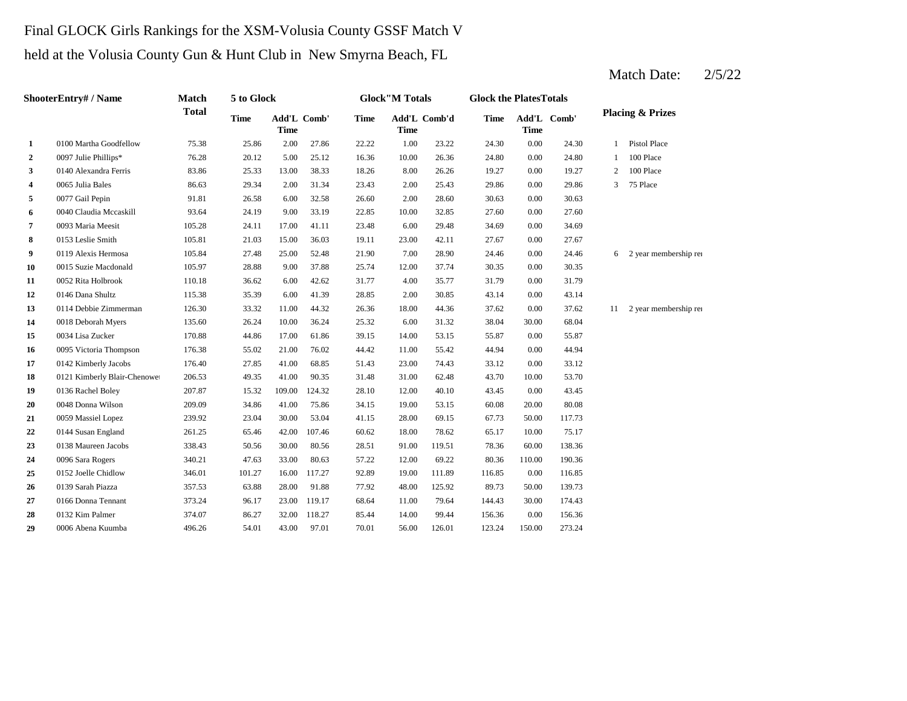### Final GLOCK Girls Rankings for the XSM-Volusia County GSSF Match V

held at the Volusia County Gun & Hunt Club in New Smyrna Beach, FL

|              | ShooterEntry# / Name         | <b>Match</b> | 5 to Glock  |                            |        |             | <b>Glock</b> "M Totals |              | <b>Glock the PlatesTotals</b> |             |             |              |                             |
|--------------|------------------------------|--------------|-------------|----------------------------|--------|-------------|------------------------|--------------|-------------------------------|-------------|-------------|--------------|-----------------------------|
|              |                              | <b>Total</b> | <b>Time</b> | Add'L Comb'<br><b>Time</b> |        | <b>Time</b> | <b>Time</b>            | Add'L Comb'd | <b>Time</b>                   | <b>Time</b> | Add'L Comb' |              | <b>Placing &amp; Prizes</b> |
| 1            | 0100 Martha Goodfellow       | 75.38        | 25.86       | 2.00                       | 27.86  | 22.22       | 1.00                   | 23.22        | 24.30                         | 0.00        | 24.30       | $\mathbf{1}$ | <b>Pistol Place</b>         |
| $\mathbf{2}$ | 0097 Julie Phillips*         | 76.28        | 20.12       | 5.00                       | 25.12  | 16.36       | 10.00                  | 26.36        | 24.80                         | 0.00        | 24.80       | 1            | 100 Place                   |
| 3            | 0140 Alexandra Ferris        | 83.86        | 25.33       | 13.00                      | 38.33  | 18.26       | 8.00                   | 26.26        | 19.27                         | 0.00        | 19.27       | 2            | 100 Place                   |
| 4            | 0065 Julia Bales             | 86.63        | 29.34       | 2.00                       | 31.34  | 23.43       | 2.00                   | 25.43        | 29.86                         | 0.00        | 29.86       | 3            | 75 Place                    |
| 5            | 0077 Gail Pepin              | 91.81        | 26.58       | 6.00                       | 32.58  | 26.60       | 2.00                   | 28.60        | 30.63                         | 0.00        | 30.63       |              |                             |
| 6            | 0040 Claudia Mccaskill       | 93.64        | 24.19       | 9.00                       | 33.19  | 22.85       | 10.00                  | 32.85        | 27.60                         | 0.00        | 27.60       |              |                             |
| 7            | 0093 Maria Meesit            | 105.28       | 24.11       | 17.00                      | 41.11  | 23.48       | 6.00                   | 29.48        | 34.69                         | 0.00        | 34.69       |              |                             |
| 8            | 0153 Leslie Smith            | 105.81       | 21.03       | 15.00                      | 36.03  | 19.11       | 23.00                  | 42.11        | 27.67                         | 0.00        | 27.67       |              |                             |
| 9            | 0119 Alexis Hermosa          | 105.84       | 27.48       | 25.00                      | 52.48  | 21.90       | 7.00                   | 28.90        | 24.46                         | 0.00        | 24.46       | 6            | 2 year membership rea       |
| 10           | 0015 Suzie Macdonald         | 105.97       | 28.88       | 9.00                       | 37.88  | 25.74       | 12.00                  | 37.74        | 30.35                         | 0.00        | 30.35       |              |                             |
| 11           | 0052 Rita Holbrook           | 110.18       | 36.62       | 6.00                       | 42.62  | 31.77       | 4.00                   | 35.77        | 31.79                         | 0.00        | 31.79       |              |                             |
| 12           | 0146 Dana Shultz             | 115.38       | 35.39       | 6.00                       | 41.39  | 28.85       | 2.00                   | 30.85        | 43.14                         | 0.00        | 43.14       |              |                             |
| 13           | 0114 Debbie Zimmerman        | 126.30       | 33.32       | 11.00                      | 44.32  | 26.36       | 18.00                  | 44.36        | 37.62                         | 0.00        | 37.62       |              | 11 2 year membership rea    |
| 14           | 0018 Deborah Myers           | 135.60       | 26.24       | 10.00                      | 36.24  | 25.32       | 6.00                   | 31.32        | 38.04                         | 30.00       | 68.04       |              |                             |
| 15           | 0034 Lisa Zucker             | 170.88       | 44.86       | 17.00                      | 61.86  | 39.15       | 14.00                  | 53.15        | 55.87                         | 0.00        | 55.87       |              |                             |
| 16           | 0095 Victoria Thompson       | 176.38       | 55.02       | 21.00                      | 76.02  | 44.42       | 11.00                  | 55.42        | 44.94                         | 0.00        | 44.94       |              |                             |
| 17           | 0142 Kimberly Jacobs         | 176.40       | 27.85       | 41.00                      | 68.85  | 51.43       | 23.00                  | 74.43        | 33.12                         | 0.00        | 33.12       |              |                             |
| 18           | 0121 Kimberly Blair-Chenowet | 206.53       | 49.35       | 41.00                      | 90.35  | 31.48       | 31.00                  | 62.48        | 43.70                         | 10.00       | 53.70       |              |                             |
| 19           | 0136 Rachel Boley            | 207.87       | 15.32       | 109.00                     | 124.32 | 28.10       | 12.00                  | 40.10        | 43.45                         | 0.00        | 43.45       |              |                             |
| 20           | 0048 Donna Wilson            | 209.09       | 34.86       | 41.00                      | 75.86  | 34.15       | 19.00                  | 53.15        | 60.08                         | 20.00       | 80.08       |              |                             |
| 21           | 0059 Massiel Lopez           | 239.92       | 23.04       | 30.00                      | 53.04  | 41.15       | 28.00                  | 69.15        | 67.73                         | 50.00       | 117.73      |              |                             |
| 22           | 0144 Susan England           | 261.25       | 65.46       | 42.00                      | 107.46 | 60.62       | 18.00                  | 78.62        | 65.17                         | 10.00       | 75.17       |              |                             |
| 23           | 0138 Maureen Jacobs          | 338.43       | 50.56       | 30.00                      | 80.56  | 28.51       | 91.00                  | 119.51       | 78.36                         | 60.00       | 138.36      |              |                             |
| 24           | 0096 Sara Rogers             | 340.21       | 47.63       | 33.00                      | 80.63  | 57.22       | 12.00                  | 69.22        | 80.36                         | 110.00      | 190.36      |              |                             |
| 25           | 0152 Joelle Chidlow          | 346.01       | 101.27      | 16.00                      | 117.27 | 92.89       | 19.00                  | 111.89       | 116.85                        | 0.00        | 116.85      |              |                             |
| 26           | 0139 Sarah Piazza            | 357.53       | 63.88       | 28.00                      | 91.88  | 77.92       | 48.00                  | 125.92       | 89.73                         | 50.00       | 139.73      |              |                             |
| 27           | 0166 Donna Tennant           | 373.24       | 96.17       | 23.00                      | 119.17 | 68.64       | 11.00                  | 79.64        | 144.43                        | 30.00       | 174.43      |              |                             |
| 28           | 0132 Kim Palmer              | 374.07       | 86.27       | 32.00                      | 118.27 | 85.44       | 14.00                  | 99.44        | 156.36                        | 0.00        | 156.36      |              |                             |
| 29           | 0006 Abena Kuumba            | 496.26       | 54.01       | 43.00                      | 97.01  | 70.01       | 56.00                  | 126.01       | 123.24                        | 150.00      | 273.24      |              |                             |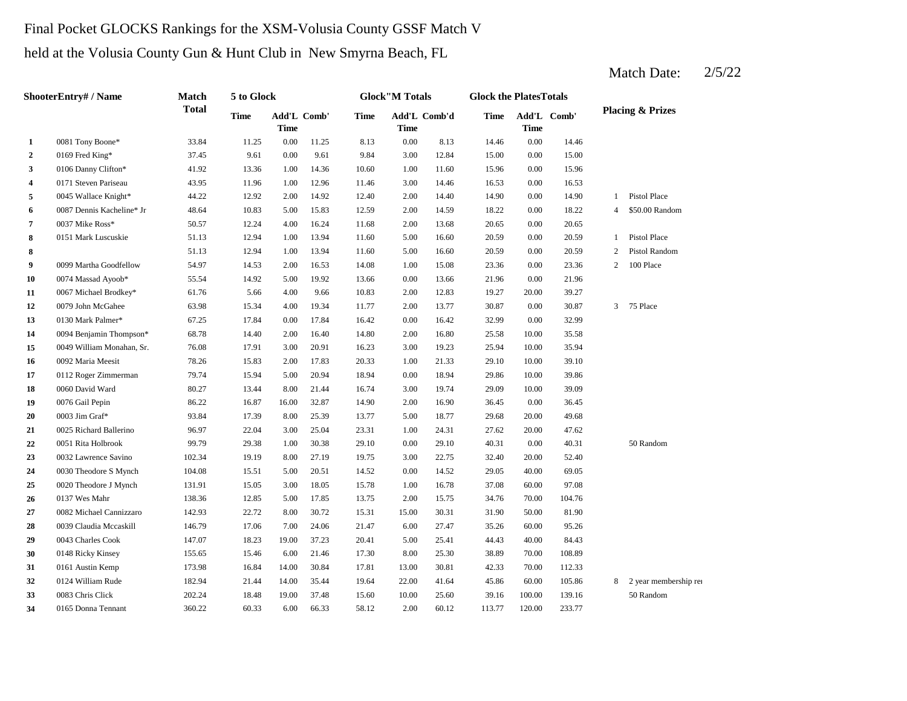# Final Pocket GLOCKS Rankings for the XSM-Volusia County GSSF Match V

held at the Volusia County Gun & Hunt Club in New Smyrna Beach, FL

|                         | <b>ShooterEntry# / Name</b> | Match        | 5 to Glock  |                            |       |       | <b>Glock</b> "M Totals      |       | <b>Glock the PlatesTotals</b> |             |             |                |                             |
|-------------------------|-----------------------------|--------------|-------------|----------------------------|-------|-------|-----------------------------|-------|-------------------------------|-------------|-------------|----------------|-----------------------------|
|                         |                             | <b>Total</b> | <b>Time</b> | Add'L Comb'<br><b>Time</b> |       | Time  | Add'L Comb'd<br><b>Time</b> |       | <b>Time</b>                   | <b>Time</b> | Add'L Comb' |                | <b>Placing &amp; Prizes</b> |
| 1                       | 0081 Tony Boone*            | 33.84        | 11.25       | 0.00                       | 11.25 | 8.13  | 0.00                        | 8.13  | 14.46                         | 0.00        | 14.46       |                |                             |
| $\overline{2}$          | 0169 Fred King*             | 37.45        | 9.61        | 0.00                       | 9.61  | 9.84  | 3.00                        | 12.84 | 15.00                         | 0.00        | 15.00       |                |                             |
| 3                       | 0106 Danny Clifton*         | 41.92        | 13.36       | 1.00                       | 14.36 | 10.60 | 1.00                        | 11.60 | 15.96                         | 0.00        | 15.96       |                |                             |
| $\overline{\mathbf{4}}$ | 0171 Steven Pariseau        | 43.95        | 11.96       | 1.00                       | 12.96 | 11.46 | 3.00                        | 14.46 | 16.53                         | 0.00        | 16.53       |                |                             |
| 5                       | 0045 Wallace Knight*        | 44.22        | 12.92       | 2.00                       | 14.92 | 12.40 | 2.00                        | 14.40 | 14.90                         | 0.00        | 14.90       | 1              | Pistol Place                |
| 6                       | 0087 Dennis Kacheline* Jr   | 48.64        | 10.83       | 5.00                       | 15.83 | 12.59 | 2.00                        | 14.59 | 18.22                         | 0.00        | 18.22       | $\overline{4}$ | \$50.00 Random              |
| 7                       | 0037 Mike Ross*             | 50.57        | 12.24       | 4.00                       | 16.24 | 11.68 | 2.00                        | 13.68 | 20.65                         | 0.00        | 20.65       |                |                             |
| 8                       | 0151 Mark Luscuskie         | 51.13        | 12.94       | 1.00                       | 13.94 | 11.60 | 5.00                        | 16.60 | 20.59                         | 0.00        | 20.59       | $\mathbf{1}$   | <b>Pistol Place</b>         |
| 8                       |                             | 51.13        | 12.94       | 1.00                       | 13.94 | 11.60 | 5.00                        | 16.60 | 20.59                         | 0.00        | 20.59       | 2              | Pistol Random               |
| 9                       | 0099 Martha Goodfellow      | 54.97        | 14.53       | 2.00                       | 16.53 | 14.08 | 1.00                        | 15.08 | 23.36                         | 0.00        | 23.36       | $\overline{2}$ | 100 Place                   |
| 10                      | 0074 Massad Ayoob*          | 55.54        | 14.92       | 5.00                       | 19.92 | 13.66 | 0.00                        | 13.66 | 21.96                         | 0.00        | 21.96       |                |                             |
| 11                      | 0067 Michael Brodkey*       | 61.76        | 5.66        | 4.00                       | 9.66  | 10.83 | 2.00                        | 12.83 | 19.27                         | 20.00       | 39.27       |                |                             |
| 12                      | 0079 John McGahee           | 63.98        | 15.34       | 4.00                       | 19.34 | 11.77 | 2.00                        | 13.77 | 30.87                         | 0.00        | 30.87       | $\overline{3}$ | 75 Place                    |
| 13                      | 0130 Mark Palmer*           | 67.25        | 17.84       | 0.00                       | 17.84 | 16.42 | 0.00                        | 16.42 | 32.99                         | 0.00        | 32.99       |                |                             |
| 14                      | 0094 Benjamin Thompson*     | 68.78        | 14.40       | 2.00                       | 16.40 | 14.80 | 2.00                        | 16.80 | 25.58                         | 10.00       | 35.58       |                |                             |
| 15                      | 0049 William Monahan, Sr.   | 76.08        | 17.91       | 3.00                       | 20.91 | 16.23 | 3.00                        | 19.23 | 25.94                         | 10.00       | 35.94       |                |                             |
| 16                      | 0092 Maria Meesit           | 78.26        | 15.83       | 2.00                       | 17.83 | 20.33 | 1.00                        | 21.33 | 29.10                         | 10.00       | 39.10       |                |                             |
| 17                      | 0112 Roger Zimmerman        | 79.74        | 15.94       | 5.00                       | 20.94 | 18.94 | 0.00                        | 18.94 | 29.86                         | 10.00       | 39.86       |                |                             |
| 18                      | 0060 David Ward             | 80.27        | 13.44       | 8.00                       | 21.44 | 16.74 | 3.00                        | 19.74 | 29.09                         | 10.00       | 39.09       |                |                             |
| 19                      | 0076 Gail Pepin             | 86.22        | 16.87       | 16.00                      | 32.87 | 14.90 | 2.00                        | 16.90 | 36.45                         | 0.00        | 36.45       |                |                             |
| 20                      | 0003 Jim Graf*              | 93.84        | 17.39       | 8.00                       | 25.39 | 13.77 | 5.00                        | 18.77 | 29.68                         | 20.00       | 49.68       |                |                             |
| 21                      | 0025 Richard Ballerino      | 96.97        | 22.04       | 3.00                       | 25.04 | 23.31 | 1.00                        | 24.31 | 27.62                         | 20.00       | 47.62       |                |                             |
| 22                      | 0051 Rita Holbrook          | 99.79        | 29.38       | 1.00                       | 30.38 | 29.10 | 0.00                        | 29.10 | 40.31                         | 0.00        | 40.31       |                | 50 Random                   |
| 23                      | 0032 Lawrence Savino        | 102.34       | 19.19       | 8.00                       | 27.19 | 19.75 | 3.00                        | 22.75 | 32.40                         | 20.00       | 52.40       |                |                             |
| 24                      | 0030 Theodore S Mynch       | 104.08       | 15.51       | 5.00                       | 20.51 | 14.52 | 0.00                        | 14.52 | 29.05                         | 40.00       | 69.05       |                |                             |
| 25                      | 0020 Theodore J Mynch       | 131.91       | 15.05       | 3.00                       | 18.05 | 15.78 | 1.00                        | 16.78 | 37.08                         | 60.00       | 97.08       |                |                             |
| 26                      | 0137 Wes Mahr               | 138.36       | 12.85       | 5.00                       | 17.85 | 13.75 | 2.00                        | 15.75 | 34.76                         | 70.00       | 104.76      |                |                             |
| 27                      | 0082 Michael Cannizzaro     | 142.93       | 22.72       | 8.00                       | 30.72 | 15.31 | 15.00                       | 30.31 | 31.90                         | 50.00       | 81.90       |                |                             |
| 28                      | 0039 Claudia Mccaskill      | 146.79       | 17.06       | 7.00                       | 24.06 | 21.47 | 6.00                        | 27.47 | 35.26                         | 60.00       | 95.26       |                |                             |
| 29                      | 0043 Charles Cook           | 147.07       | 18.23       | 19.00                      | 37.23 | 20.41 | 5.00                        | 25.41 | 44.43                         | 40.00       | 84.43       |                |                             |
| 30                      | 0148 Ricky Kinsey           | 155.65       | 15.46       | 6.00                       | 21.46 | 17.30 | 8.00                        | 25.30 | 38.89                         | 70.00       | 108.89      |                |                             |
| 31                      | 0161 Austin Kemp            | 173.98       | 16.84       | 14.00                      | 30.84 | 17.81 | 13.00                       | 30.81 | 42.33                         | 70.00       | 112.33      |                |                             |
| 32                      | 0124 William Rude           | 182.94       | 21.44       | 14.00                      | 35.44 | 19.64 | 22.00                       | 41.64 | 45.86                         | 60.00       | 105.86      |                | 8 2 year membership rea     |
| 33                      | 0083 Chris Click            | 202.24       | 18.48       | 19.00                      | 37.48 | 15.60 | 10.00                       | 25.60 | 39.16                         | 100.00      | 139.16      |                | 50 Random                   |
| 34                      | 0165 Donna Tennant          | 360.22       | 60.33       | 6.00                       | 66.33 | 58.12 | 2.00                        | 60.12 | 113.77                        | 120.00      | 233.77      |                |                             |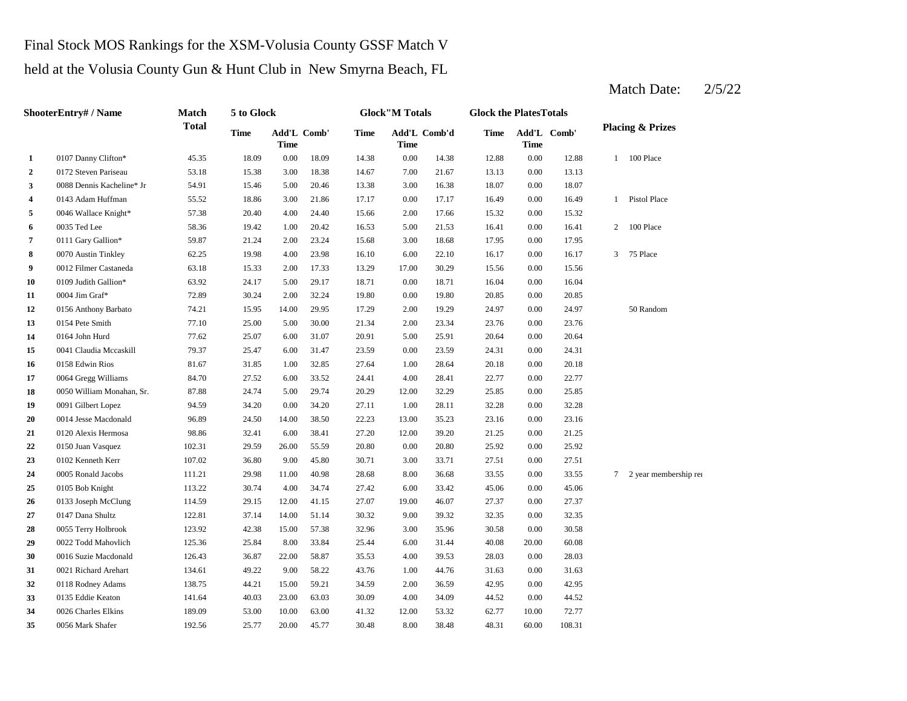# Final Stock MOS Rankings for the XSM-Volusia County GSSF Match V

held at the Volusia County Gun & Hunt Club in New Smyrna Beach, FL

**2** 0172 Steven Pariseau 53.18 15.38 3.00 18.38 14.67 7.00 21.67 13.13 **3** 3.00 16.38 Dennis Kacheline\* Jr 54.91 15.46 5.00 20.46 13.38 3.00 16.38 18.07 0.00 **4** 0143 Adam Huffman 55.52 18.86 3.00 21.86 17.17 0.00 17.17 16.49 0.00 16.49 **5** 0046 Wallace Knight\* **57.38** 20.40 4.00 24.40 15.66 2.00 17.66 15.32 0.00 **6** 0035 Ted Lee 58.36 19.42 1.00 20.42 16.53 5.00 21.53 16.41 **7** 0111 Gary Gallion\* 59.87 21.24 2.00 23.24 15.68 3.00 18.68 17.95 0.00 **8** 6070 Austin Tinkley 62.25 19.98 4.00 23.98 16.10 6.00 22.10 16.17 0.00 16.17 **9** 0012 Filmer Castaneda 63.18 15.33 2.00 17.33 13.29 17.00 30.29 15.56 0.00 **10** 0.00 16.04 0109 Judith Gallion\* 63.92 24.17 5.00 29.17 18.71 18.71 0.00 16.04 **11** 0004 Jim Graf\* **11 11 12.89 12.89 12.89 12.89 12.80 12.80 12.80 12.85 12** 0156 Anthony Barbato 74.21 15.95 14.00 29.95 17.29 2.00 19.29 24.97 **13** 2.00 23.76 0154 Pete Smith 77.10 25.00 5.00 30.00 21.34 23.34 **14** 5.00 20.64 **15** 0.00 24.31 0041 Claudia Mccaskill 79.37 25.47 6.00 31.47 23.59 23.59 0.00 24.31 **16** 0158 Edwin Rios 81.67 31.85 1.00 32.85 27.64 1.00 28.64 20.18 **17** 0064 Gregg Williams 84.70 27.52 6.00 33.52 24.41 4.00 28.41 22.77 **18** 0050 William Monahan, Sr. 87.88 24.74 5.00 29.74 20.29 12.00 32.29 25.85 0.00 **19** 0091 Gilbert Lopez **94.59** 34.20 0.00 34.20 27.11 1.00 28.11 32.28 0.00 32.28 **20** 0014 Jesse Macdonald 96.89 24.50 14.00 38.50 22.23 13.00 35.23 23.16 **21** 12.00 21.25 0120 Alexis Hermosa 98.86 32.41 6.00 38.41 27.20 39.20 **22** 0.00 25.92 0150 Juan Vasquez 102.31 29.59 26.00 55.59 20.80 20.80 0.00 **23**  $\frac{107.51}{27.51}$   $\frac{107.02}{27.51}$   $\frac{107.02}{27.51}$   $\frac{36.80}{27.51}$   $\frac{9.00}{27.51}$   $\frac{27.51}{27.51}$   $\frac{0.00}{27.51}$   $\frac{27.51}{27.51}$ **24** 8.00 33.55 0005 Ronald Jacobs 111.21 29.98 11.00 40.98 28.68 **25** 6.00 45.06 0105 Bob Knight 113.22 30.74 4.00 34.74 **26** 0133 Joseph McClung 114.59 29.15 12.00 41.15 27.07 19.00 46.07 27.37 **27** 0147 Dana Shultz 122.81 37.14 14.00 51.14 30.32 9.00 39.32 32.35 **28** 3.00 35.96 30.58 0.00 **29** 0022 Todd Mahovlich 125.36 25.84 8.00 33.84 25.44 6.00 31.44 40.08 20.00 60.08 **30** 0016 Suzie Macdonald 126.43 36.87 22.00 58.87 35.53 4.00 39.53 28.03 **31** 0021 Richard Arehart 134.61 49.22 9.00 58.22 43.76 1.00 44.76 31.63 **32** 0118 Rodney Adams 138.75 44.21 15.00 59.21 34.59 2.00 36.59 42.95 0.00 **33** 0135 Eddie Keaton 141.64 40.03 23.00 63.03 30.09 4.00 34.09 44.52 0.00 44.52 **34** 12.00 62.77 0026 Charles Elkins 189.09 53.00 10.00 63.00 41.32 **35** 8.00 56 Mark Shafer 192.56 25.77 20.00 45.77 30.48 8.00 38.48 48.31 60.00 108.31 53.32 10.00 72.77 42.95 0.00 31.63 39.53 0.00 28.03 30.58 0.00 32.35 46.07 0.00 27.37 27.42 33.42 0.00 45.06 36.68 33.55 0.00 33.55 7 2 year membership ren 25.92 0.00 21.25 35.23 0.00 23.16 25.85 0.00 22.77 28.64 0.00 20.18 20.64 0.00 23.76 0164 John Hurd 77.62 25.07 6.00 31.07 20.91 25.91 0.00 0.00 24.97 50 Random 19.80 20.85 0.00 20.85 0004 Jim Graf\* 2.89 30.24 2.00 32.24 19.80 15.56 3 75 Place 17.95 2 100 Place 15.32 0035 Ted Lee 58.36 19.42 1.00 20.42 16.53 5.00 21.53 16.41 0.00 16.41 1 Pistol Place 18.07 0.00 13.13 12.88 1 100 Place 18.09 14.38 0.00 14.38 12.88 0.00 **Add'L Comb'd Time Add'L Time Time** Add'L Comb' **1** 0107 Danny Clifton\* 45.35 18.09 0.00 **ShooterEntry# / Name Match Total 5 to Glock Time Glock"M Totals Glock the PlatesTotals Placing & Prizes Time Add'L Time Comb' Time**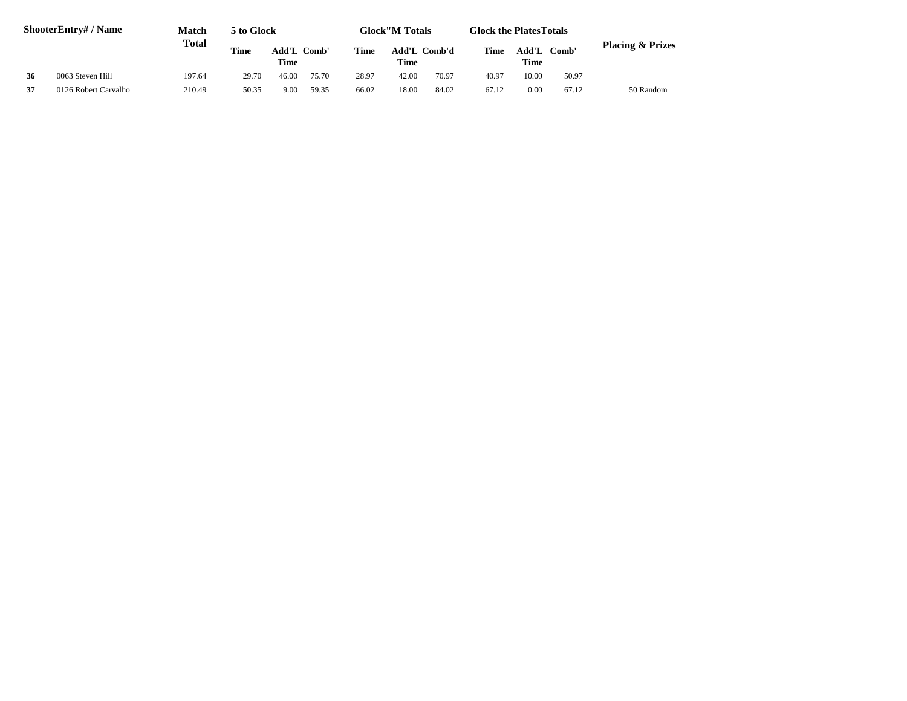|    | <b>ShooterEntry#/Name</b> | <b>Match</b> | 5 to Glock  |                            |       |             | <b>Glock</b> "M Totals |              | <b>Glock the Plates Totals</b> |               |       |                             |
|----|---------------------------|--------------|-------------|----------------------------|-------|-------------|------------------------|--------------|--------------------------------|---------------|-------|-----------------------------|
|    |                           | Total        | <b>Time</b> | Add'L Comb'<br><b>Time</b> |       | <b>Time</b> | Time                   | Add'L Comb'd | Time                           | Add'L<br>Time | Comb' | <b>Placing &amp; Prizes</b> |
| 36 | 0063 Steven Hill          | 197.64       | 29.70       | 46.00                      | 75.70 | 28.97       | 42.00                  | 70.97        | 40.97                          | 10.00         | 50.97 |                             |
| 37 | 0126 Robert Carvalho      | 210.49       | 50.35       | 9.00                       | 59.35 | 66.02       | 18.00                  | 84.02        | 67.12                          | 0.00          | 67.12 | 50 Random                   |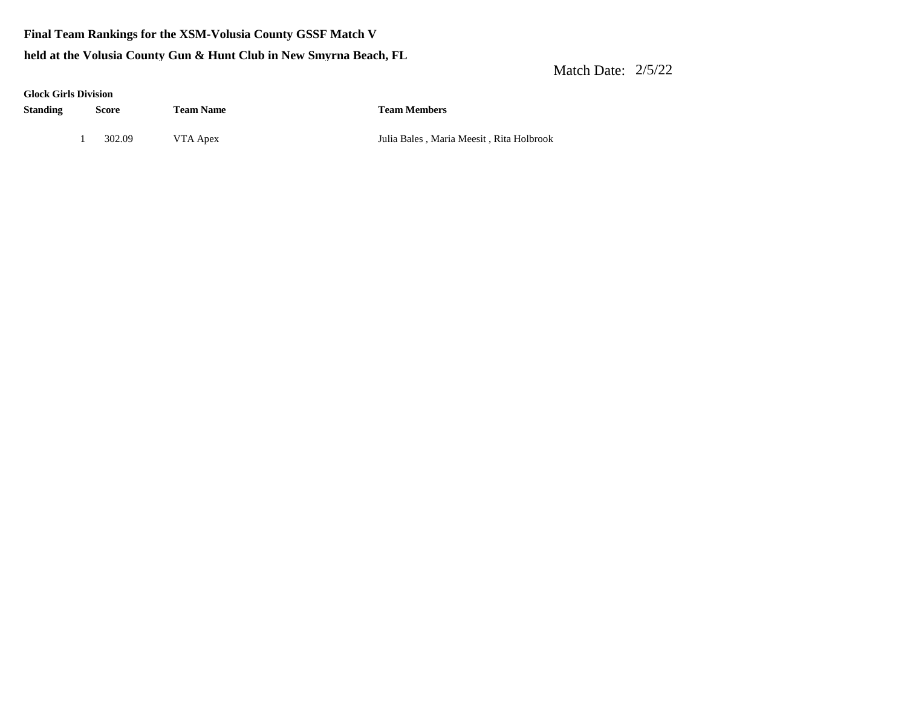**Final Team Rankings for the XSM-Volusia County GSSF Match V**

#### **held at the Volusia County Gun & Hunt Club in New Smyrna Beach, FL**

| <b>Glock Girls Division</b> |        |                  |                                          |
|-----------------------------|--------|------------------|------------------------------------------|
| <b>Standing</b>             | Score  | <b>Team Name</b> | <b>Team Members</b>                      |
|                             | 302.09 | VTA Apex         | Julia Bales, Maria Meesit, Rita Holbrook |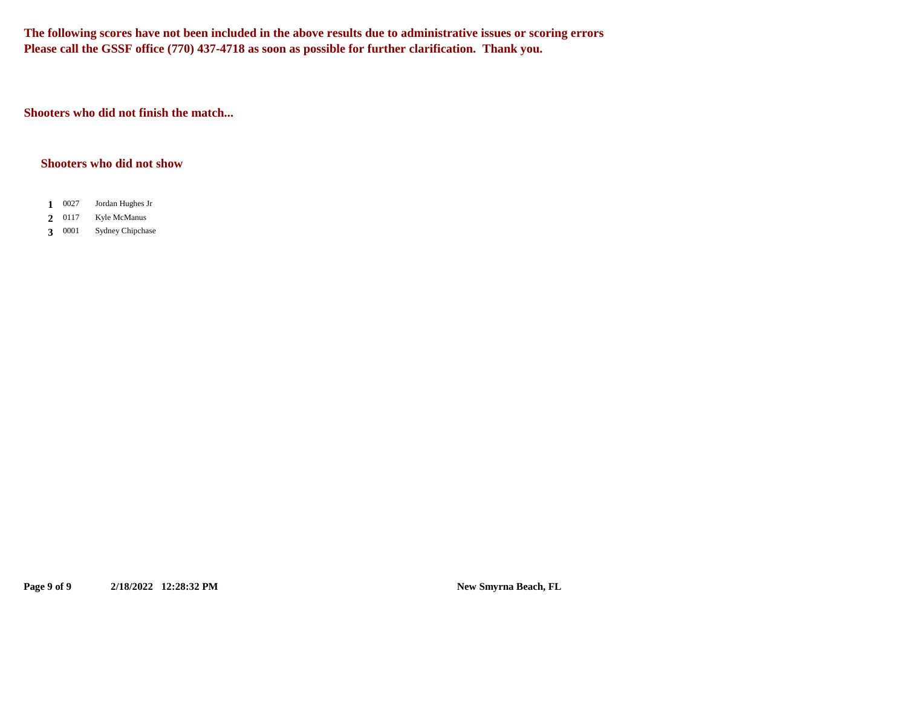**The following scores have not been included in the above results due to administrative issues or scoring errors Please call the GSSF office (770) 437-4718 as soon as possible for further clarification. Thank you.**

**Shooters who did not finish the match...**

#### **Shooters who did not show**

- 0027 1 0027 Jordan Hughes Jr
- 0117 2 0117 Kyle McManus
- 3 0001 **3** Sydney Chipchase

**Page 9 of 9 2/18/2022 12:28:32 PM New Smyrna Beach, FL**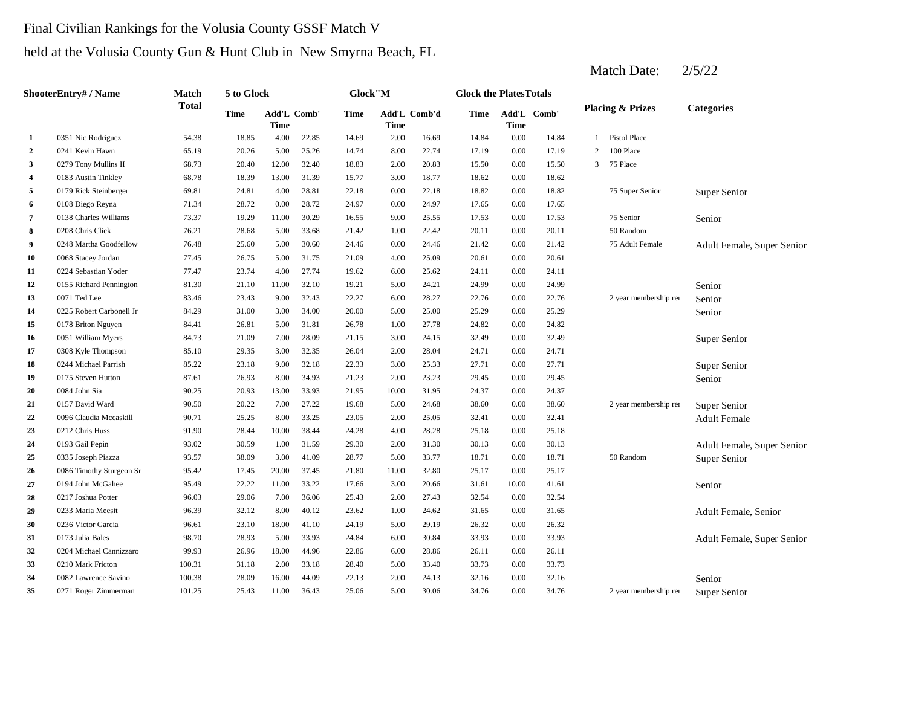### Final Civilian Rankings for the Volusia County GSSF Match V

# held at the Volusia County Gun & Hunt Club in New Smyrna Beach, FL

|                | ShooterEntry# / Name     | Match        | 5 to Glock |                            |       | Glock"M |                      |       | <b>Glock the PlatesTotals</b> |             |             |   |                             |                            |
|----------------|--------------------------|--------------|------------|----------------------------|-------|---------|----------------------|-------|-------------------------------|-------------|-------------|---|-----------------------------|----------------------------|
|                |                          | <b>Total</b> | Time       | Add'L Comb'<br><b>Time</b> |       | Time    | Add'L Comb'd<br>Time |       | Time                          | <b>Time</b> | Add'L Comb' |   | <b>Placing &amp; Prizes</b> | <b>Categories</b>          |
| 1              | 0351 Nic Rodriguez       | 54.38        | 18.85      | 4.00                       | 22.85 | 14.69   | 2.00                 | 16.69 | 14.84                         | 0.00        | 14.84       |   | 1 Pistol Place              |                            |
| $\overline{2}$ | 0241 Kevin Hawn          | 65.19        | 20.26      | 5.00                       | 25.26 | 14.74   | 8.00                 | 22.74 | 17.19                         | 0.00        | 17.19       | 2 | 100 Place                   |                            |
| 3              | 0279 Tony Mullins II     | 68.73        | 20.40      | 12.00                      | 32.40 | 18.83   | 2.00                 | 20.83 | 15.50                         | 0.00        | 15.50       | 3 | 75 Place                    |                            |
| 4              | 0183 Austin Tinkley      | 68.78        | 18.39      | 13.00                      | 31.39 | 15.77   | 3.00                 | 18.77 | 18.62                         | 0.00        | 18.62       |   |                             |                            |
| 5              | 0179 Rick Steinberger    | 69.81        | 24.81      | 4.00                       | 28.81 | 22.18   | 0.00                 | 22.18 | 18.82                         | 0.00        | 18.82       |   | 75 Super Senior             | Super Senior               |
| 6              | 0108 Diego Reyna         | 71.34        | 28.72      | 0.00                       | 28.72 | 24.97   | 0.00                 | 24.97 | 17.65                         | 0.00        | 17.65       |   |                             |                            |
| 7              | 0138 Charles Williams    | 73.37        | 19.29      | 11.00                      | 30.29 | 16.55   | 9.00                 | 25.55 | 17.53                         | 0.00        | 17.53       |   | 75 Senior                   | Senior                     |
| 8              | 0208 Chris Click         | 76.21        | 28.68      | 5.00                       | 33.68 | 21.42   | 1.00                 | 22.42 | 20.11                         | 0.00        | 20.11       |   | 50 Random                   |                            |
| 9              | 0248 Martha Goodfellow   | 76.48        | 25.60      | 5.00                       | 30.60 | 24.46   | 0.00                 | 24.46 | 21.42                         | 0.00        | 21.42       |   | 75 Adult Female             | Adult Female, Super Senior |
| 10             | 0068 Stacey Jordan       | 77.45        | 26.75      | 5.00                       | 31.75 | 21.09   | 4.00                 | 25.09 | 20.61                         | 0.00        | 20.61       |   |                             |                            |
| 11             | 0224 Sebastian Yoder     | 77.47        | 23.74      | 4.00                       | 27.74 | 19.62   | 6.00                 | 25.62 | 24.11                         | 0.00        | 24.11       |   |                             |                            |
| 12             | 0155 Richard Pennington  | 81.30        | 21.10      | 11.00                      | 32.10 | 19.21   | 5.00                 | 24.21 | 24.99                         | 0.00        | 24.99       |   |                             | Senior                     |
| 13             | 0071 Ted Lee             | 83.46        | 23.43      | 9.00                       | 32.43 | 22.27   | 6.00                 | 28.27 | 22.76                         | 0.00        | 22.76       |   | 2 year membership ren       | Senior                     |
| 14             | 0225 Robert Carbonell Jr | 84.29        | 31.00      | 3.00                       | 34.00 | 20.00   | 5.00                 | 25.00 | 25.29                         | 0.00        | 25.29       |   |                             | Senior                     |
| 15             | 0178 Briton Nguyen       | 84.41        | 26.81      | 5.00                       | 31.81 | 26.78   | 1.00                 | 27.78 | 24.82                         | 0.00        | 24.82       |   |                             |                            |
| 16             | 0051 William Myers       | 84.73        | 21.09      | 7.00                       | 28.09 | 21.15   | 3.00                 | 24.15 | 32.49                         | 0.00        | 32.49       |   |                             | Super Senior               |
| 17             | 0308 Kyle Thompson       | 85.10        | 29.35      | 3.00                       | 32.35 | 26.04   | 2.00                 | 28.04 | 24.71                         | 0.00        | 24.71       |   |                             |                            |
| 18             | 0244 Michael Parrish     | 85.22        | 23.18      | 9.00                       | 32.18 | 22.33   | 3.00                 | 25.33 | 27.71                         | 0.00        | 27.71       |   |                             | Super Senior               |
| 19             | 0175 Steven Hutton       | 87.61        | 26.93      | 8.00                       | 34.93 | 21.23   | 2.00                 | 23.23 | 29.45                         | 0.00        | 29.45       |   |                             | Senior                     |
| 20             | 0084 John Sia            | 90.25        | 20.93      | 13.00                      | 33.93 | 21.95   | 10.00                | 31.95 | 24.37                         | 0.00        | 24.37       |   |                             |                            |
| 21             | 0157 David Ward          | 90.50        | 20.22      | 7.00                       | 27.22 | 19.68   | 5.00                 | 24.68 | 38.60                         | 0.00        | 38.60       |   | 2 year membership ren       | Super Senior               |
| 22             | 0096 Claudia Mccaskill   | 90.71        | 25.25      | 8.00                       | 33.25 | 23.05   | 2.00                 | 25.05 | 32.41                         | 0.00        | 32.41       |   |                             | <b>Adult Female</b>        |
| 23             | 0212 Chris Huss          | 91.90        | 28.44      | 10.00                      | 38.44 | 24.28   | 4.00                 | 28.28 | 25.18                         | 0.00        | 25.18       |   |                             |                            |
| 24             | 0193 Gail Pepin          | 93.02        | 30.59      | 1.00                       | 31.59 | 29.30   | 2.00                 | 31.30 | 30.13                         | 0.00        | 30.13       |   |                             | Adult Female, Super Senior |
| 25             | 0335 Joseph Piazza       | 93.57        | 38.09      | 3.00                       | 41.09 | 28.77   | 5.00                 | 33.77 | 18.71                         | 0.00        | 18.71       |   | 50 Random                   | Super Senior               |
| 26             | 0086 Timothy Sturgeon Sr | 95.42        | 17.45      | 20.00                      | 37.45 | 21.80   | 11.00                | 32.80 | 25.17                         | 0.00        | 25.17       |   |                             |                            |
| 27             | 0194 John McGahee        | 95.49        | 22.22      | 11.00                      | 33.22 | 17.66   | 3.00                 | 20.66 | 31.61                         | 10.00       | 41.61       |   |                             | Senior                     |
| 28             | 0217 Joshua Potter       | 96.03        | 29.06      | 7.00                       | 36.06 | 25.43   | 2.00                 | 27.43 | 32.54                         | 0.00        | 32.54       |   |                             |                            |
| 29             | 0233 Maria Meesit        | 96.39        | 32.12      | 8.00                       | 40.12 | 23.62   | 1.00                 | 24.62 | 31.65                         | 0.00        | 31.65       |   |                             | Adult Female, Senior       |
| 30             | 0236 Victor Garcia       | 96.61        | 23.10      | 18.00                      | 41.10 | 24.19   | 5.00                 | 29.19 | 26.32                         | 0.00        | 26.32       |   |                             |                            |
| 31             | 0173 Julia Bales         | 98.70        | 28.93      | 5.00                       | 33.93 | 24.84   | 6.00                 | 30.84 | 33.93                         | 0.00        | 33.93       |   |                             | Adult Female, Super Senior |
| 32             | 0204 Michael Cannizzaro  | 99.93        | 26.96      | 18.00                      | 44.96 | 22.86   | 6.00                 | 28.86 | 26.11                         | 0.00        | 26.11       |   |                             |                            |
| 33             | 0210 Mark Fricton        | 100.31       | 31.18      | 2.00                       | 33.18 | 28.40   | 5.00                 | 33.40 | 33.73                         | 0.00        | 33.73       |   |                             |                            |
| 34             | 0082 Lawrence Savino     | 100.38       | 28.09      | 16.00                      | 44.09 | 22.13   | 2.00                 | 24.13 | 32.16                         | 0.00        | 32.16       |   |                             | Senior                     |
| 35             | 0271 Roger Zimmerman     | 101.25       | 25.43      | 11.00                      | 36.43 | 25.06   | 5.00                 | 30.06 | 34.76                         | 0.00        | 34.76       |   | 2 year membership ren       | Super Senior               |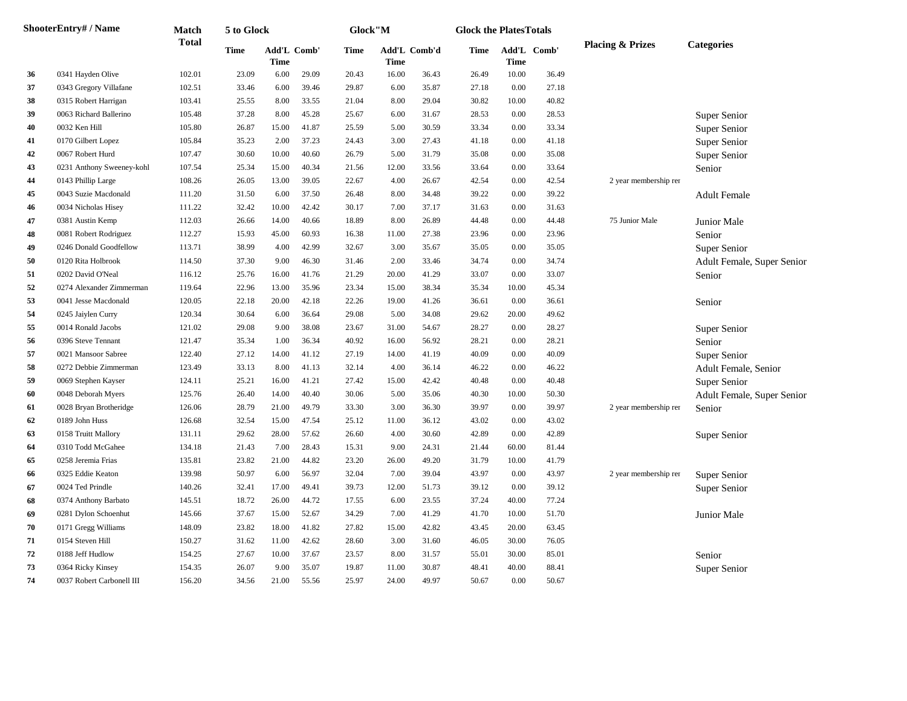|    | <b>ShooterEntry#/Name</b> | <b>Match</b> | 5 to Glock |                                   |       | Glock"M |                      |       | <b>Glock the PlatesTotals</b> |             |             |                             |                            |
|----|---------------------------|--------------|------------|-----------------------------------|-------|---------|----------------------|-------|-------------------------------|-------------|-------------|-----------------------------|----------------------------|
|    |                           | Total        | Time       | <b>Add'L Comb'</b><br><b>Time</b> |       | Time    | Add'L Comb'd<br>Time |       | Time                          | <b>Time</b> | Add'L Comb' | <b>Placing &amp; Prizes</b> | <b>Categories</b>          |
| 36 | 0341 Hayden Olive         | 102.01       | 23.09      | 6.00                              | 29.09 | 20.43   | 16.00                | 36.43 | 26.49                         | 10.00       | 36.49       |                             |                            |
| 37 | 0343 Gregory Villafane    | 102.51       | 33.46      | 6.00                              | 39.46 | 29.87   | 6.00                 | 35.87 | 27.18                         | 0.00        | 27.18       |                             |                            |
| 38 | 0315 Robert Harrigan      | 103.41       | 25.55      | 8.00                              | 33.55 | 21.04   | 8.00                 | 29.04 | 30.82                         | 10.00       | 40.82       |                             |                            |
| 39 | 0063 Richard Ballerino    | 105.48       | 37.28      | 8.00                              | 45.28 | 25.67   | 6.00                 | 31.67 | 28.53                         | 0.00        | 28.53       |                             | Super Senior               |
| 40 | 0032 Ken Hill             | 105.80       | 26.87      | 15.00                             | 41.87 | 25.59   | 5.00                 | 30.59 | 33.34                         | 0.00        | 33.34       |                             | Super Senior               |
| 41 | 0170 Gilbert Lopez        | 105.84       | 35.23      | 2.00                              | 37.23 | 24.43   | 3.00                 | 27.43 | 41.18                         | 0.00        | 41.18       |                             | Super Senior               |
| 42 | 0067 Robert Hurd          | 107.47       | 30.60      | 10.00                             | 40.60 | 26.79   | 5.00                 | 31.79 | 35.08                         | 0.00        | 35.08       |                             | Super Senior               |
| 43 | 0231 Anthony Sweeney-kohl | 107.54       | 25.34      | 15.00                             | 40.34 | 21.56   | 12.00                | 33.56 | 33.64                         | 0.00        | 33.64       |                             | Senior                     |
| 44 | 0143 Phillip Large        | 108.26       | 26.05      | 13.00                             | 39.05 | 22.67   | 4.00                 | 26.67 | 42.54                         | 0.00        | 42.54       | 2 year membership ren       |                            |
| 45 | 0043 Suzie Macdonald      | 111.20       | 31.50      | 6.00                              | 37.50 | 26.48   | 8.00                 | 34.48 | 39.22                         | 0.00        | 39.22       |                             | <b>Adult Female</b>        |
| 46 | 0034 Nicholas Hisey       | 111.22       | 32.42      | 10.00                             | 42.42 | 30.17   | 7.00                 | 37.17 | 31.63                         | 0.00        | 31.63       |                             |                            |
| 47 | 0381 Austin Kemp          | 112.03       | 26.66      | 14.00                             | 40.66 | 18.89   | 8.00                 | 26.89 | 44.48                         | 0.00        | 44.48       | 75 Junior Male              | Junior Male                |
| 48 | 0081 Robert Rodriguez     | 112.27       | 15.93      | 45.00                             | 60.93 | 16.38   | 11.00                | 27.38 | 23.96                         | 0.00        | 23.96       |                             | Senior                     |
| 49 | 0246 Donald Goodfellow    | 113.71       | 38.99      | 4.00                              | 42.99 | 32.67   | 3.00                 | 35.67 | 35.05                         | 0.00        | 35.05       |                             | Super Senior               |
| 50 | 0120 Rita Holbrook        | 114.50       | 37.30      | 9.00                              | 46.30 | 31.46   | 2.00                 | 33.46 | 34.74                         | 0.00        | 34.74       |                             | Adult Female, Super Senior |
| 51 | 0202 David O'Neal         | 116.12       | 25.76      | 16.00                             | 41.76 | 21.29   | 20.00                | 41.29 | 33.07                         | 0.00        | 33.07       |                             | Senior                     |
| 52 | 0274 Alexander Zimmerman  | 119.64       | 22.96      | 13.00                             | 35.96 | 23.34   | 15.00                | 38.34 | 35.34                         | 10.00       | 45.34       |                             |                            |
| 53 | 0041 Jesse Macdonald      | 120.05       | 22.18      | 20.00                             | 42.18 | 22.26   | 19.00                | 41.26 | 36.61                         | 0.00        | 36.61       |                             | Senior                     |
| 54 | 0245 Jaiylen Curry        | 120.34       | 30.64      | 6.00                              | 36.64 | 29.08   | 5.00                 | 34.08 | 29.62                         | 20.00       | 49.62       |                             |                            |
| 55 | 0014 Ronald Jacobs        | 121.02       | 29.08      | 9.00                              | 38.08 | 23.67   | 31.00                | 54.67 | 28.27                         | 0.00        | 28.27       |                             | Super Senior               |
| 56 | 0396 Steve Tennant        | 121.47       | 35.34      | 1.00                              | 36.34 | 40.92   | 16.00                | 56.92 | 28.21                         | 0.00        | 28.21       |                             | Senior                     |
| 57 | 0021 Mansoor Sabree       | 122.40       | 27.12      | 14.00                             | 41.12 | 27.19   | 14.00                | 41.19 | 40.09                         | 0.00        | 40.09       |                             | Super Senior               |
| 58 | 0272 Debbie Zimmerman     | 123.49       | 33.13      | 8.00                              | 41.13 | 32.14   | 4.00                 | 36.14 | 46.22                         | $0.00\,$    | 46.22       |                             | Adult Female, Senior       |
| 59 | 0069 Stephen Kayser       | 124.11       | 25.21      | 16.00                             | 41.21 | 27.42   | 15.00                | 42.42 | 40.48                         | 0.00        | 40.48       |                             | Super Senior               |
| 60 | 0048 Deborah Myers        | 125.76       | 26.40      | 14.00                             | 40.40 | 30.06   | 5.00                 | 35.06 | 40.30                         | 10.00       | 50.30       |                             | Adult Female, Super Senior |
| 61 | 0028 Bryan Brotheridge    | 126.06       | 28.79      | 21.00                             | 49.79 | 33.30   | 3.00                 | 36.30 | 39.97                         | 0.00        | 39.97       | 2 year membership rer       | Senior                     |
| 62 | 0189 John Huss            | 126.68       | 32.54      | 15.00                             | 47.54 | 25.12   | 11.00                | 36.12 | 43.02                         | 0.00        | 43.02       |                             |                            |
| 63 | 0158 Truitt Mallory       | 131.11       | 29.62      | 28.00                             | 57.62 | 26.60   | 4.00                 | 30.60 | 42.89                         | 0.00        | 42.89       |                             | Super Senior               |
| 64 | 0310 Todd McGahee         | 134.18       | 21.43      | 7.00                              | 28.43 | 15.31   | 9.00                 | 24.31 | 21.44                         | 60.00       | 81.44       |                             |                            |
| 65 | 0258 Jeremia Frias        | 135.81       | 23.82      | 21.00                             | 44.82 | 23.20   | 26.00                | 49.20 | 31.79                         | 10.00       | 41.79       |                             |                            |
| 66 | 0325 Eddie Keaton         | 139.98       | 50.97      | 6.00                              | 56.97 | 32.04   | 7.00                 | 39.04 | 43.97                         | 0.00        | 43.97       | 2 year membership ren       | Super Senior               |
| 67 | 0024 Ted Prindle          | 140.26       | 32.41      | 17.00                             | 49.41 | 39.73   | 12.00                | 51.73 | 39.12                         | 0.00        | 39.12       |                             | <b>Super Senior</b>        |
| 68 | 0374 Anthony Barbato      | 145.51       | 18.72      | 26.00                             | 44.72 | 17.55   | 6.00                 | 23.55 | 37.24                         | 40.00       | 77.24       |                             |                            |
| 69 | 0281 Dylon Schoenhut      | 145.66       | 37.67      | 15.00                             | 52.67 | 34.29   | 7.00                 | 41.29 | 41.70                         | 10.00       | 51.70       |                             | <b>Junior Male</b>         |
| 70 | 0171 Gregg Williams       | 148.09       | 23.82      | 18.00                             | 41.82 | 27.82   | 15.00                | 42.82 | 43.45                         | 20.00       | 63.45       |                             |                            |
| 71 | 0154 Steven Hill          | 150.27       | 31.62      | 11.00                             | 42.62 | 28.60   | 3.00                 | 31.60 | 46.05                         | 30.00       | 76.05       |                             |                            |
| 72 | 0188 Jeff Hudlow          | 154.25       | 27.67      | 10.00                             | 37.67 | 23.57   | 8.00                 | 31.57 | 55.01                         | 30.00       | 85.01       |                             | Senior                     |
| 73 | 0364 Ricky Kinsey         | 154.35       | 26.07      | 9.00                              | 35.07 | 19.87   | 11.00                | 30.87 | 48.41                         | 40.00       | 88.41       |                             | Super Senior               |
| 74 | 0037 Robert Carbonell III | 156.20       | 34.56      | 21.00                             | 55.56 | 25.97   | 24.00                | 49.97 | 50.67                         | 0.00        | 50.67       |                             |                            |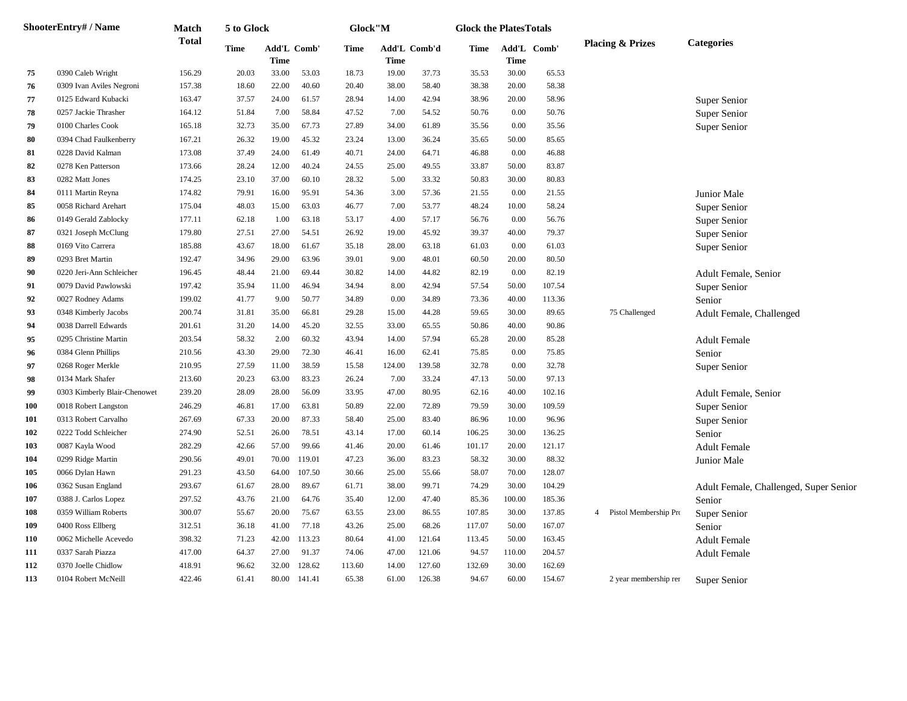|     | ShooterEntry# / Name         | Match        | 5 to Glock |                            |              | Glock"M |             |              | <b>Glock the PlatesTotals</b> |             |             |   |                             |                                        |
|-----|------------------------------|--------------|------------|----------------------------|--------------|---------|-------------|--------------|-------------------------------|-------------|-------------|---|-----------------------------|----------------------------------------|
|     |                              | <b>Total</b> | Time       | Add'L Comb'<br><b>Time</b> |              | Time    | <b>Time</b> | Add'L Comb'd | Time                          | <b>Time</b> | Add'L Comb' |   | <b>Placing &amp; Prizes</b> | <b>Categories</b>                      |
| 75  | 0390 Caleb Wright            | 156.29       | 20.03      | 33.00                      | 53.03        | 18.73   | 19.00       | 37.73        | 35.53                         | 30.00       | 65.53       |   |                             |                                        |
| 76  | 0309 Ivan Aviles Negroni     | 157.38       | 18.60      | 22.00                      | 40.60        | 20.40   | 38.00       | 58.40        | 38.38                         | 20.00       | 58.38       |   |                             |                                        |
| 77  | 0125 Edward Kubacki          | 163.47       | 37.57      | 24.00                      | 61.57        | 28.94   | 14.00       | 42.94        | 38.96                         | 20.00       | 58.96       |   |                             | Super Senior                           |
| 78  | 0257 Jackie Thrasher         | 164.12       | 51.84      | 7.00                       | 58.84        | 47.52   | 7.00        | 54.52        | 50.76                         | 0.00        | 50.76       |   |                             | Super Senior                           |
| 79  | 0100 Charles Cook            | 165.18       | 32.73      | 35.00                      | 67.73        | 27.89   | 34.00       | 61.89        | 35.56                         | 0.00        | 35.56       |   |                             | Super Senior                           |
| 80  | 0394 Chad Faulkenberry       | 167.21       | 26.32      | 19.00                      | 45.32        | 23.24   | 13.00       | 36.24        | 35.65                         | 50.00       | 85.65       |   |                             |                                        |
| 81  | 0228 David Kalman            | 173.08       | 37.49      | 24.00                      | 61.49        | 40.71   | 24.00       | 64.71        | 46.88                         | 0.00        | 46.88       |   |                             |                                        |
| 82  | 0278 Ken Patterson           | 173.66       | 28.24      | 12.00                      | 40.24        | 24.55   | 25.00       | 49.55        | 33.87                         | 50.00       | 83.87       |   |                             |                                        |
| 83  | 0282 Matt Jones              | 174.25       | 23.10      | 37.00                      | 60.10        | 28.32   | 5.00        | 33.32        | 50.83                         | 30.00       | 80.83       |   |                             |                                        |
| 84  | 0111 Martin Reyna            | 174.82       | 79.91      | 16.00                      | 95.91        | 54.36   | 3.00        | 57.36        | 21.55                         | 0.00        | 21.55       |   |                             | Junior Male                            |
| 85  | 0058 Richard Arehart         | 175.04       | 48.03      | 15.00                      | 63.03        | 46.77   | 7.00        | 53.77        | 48.24                         | 10.00       | 58.24       |   |                             | Super Senior                           |
| 86  | 0149 Gerald Zablocky         | 177.11       | 62.18      | 1.00                       | 63.18        | 53.17   | 4.00        | 57.17        | 56.76                         | 0.00        | 56.76       |   |                             | Super Senior                           |
| 87  | 0321 Joseph McClung          | 179.80       | 27.51      | 27.00                      | 54.51        | 26.92   | 19.00       | 45.92        | 39.37                         | 40.00       | 79.37       |   |                             | Super Senior                           |
| 88  | 0169 Vito Carrera            | 185.88       | 43.67      | 18.00                      | 61.67        | 35.18   | 28.00       | 63.18        | 61.03                         | 0.00        | 61.03       |   |                             | Super Senior                           |
| 89  | 0293 Bret Martin             | 192.47       | 34.96      | 29.00                      | 63.96        | 39.01   | 9.00        | 48.01        | 60.50                         | 20.00       | 80.50       |   |                             |                                        |
| 90  | 0220 Jeri-Ann Schleicher     | 196.45       | 48.44      | 21.00                      | 69.44        | 30.82   | 14.00       | 44.82        | 82.19                         | 0.00        | 82.19       |   |                             | <b>Adult Female, Senior</b>            |
| 91  | 0079 David Pawlowski         | 197.42       | 35.94      | 11.00                      | 46.94        | 34.94   | 8.00        | 42.94        | 57.54                         | 50.00       | 107.54      |   |                             | Super Senior                           |
| 92  | 0027 Rodney Adams            | 199.02       | 41.77      | 9.00                       | 50.77        | 34.89   | 0.00        | 34.89        | 73.36                         | 40.00       | 113.36      |   |                             | Senior                                 |
| 93  | 0348 Kimberly Jacobs         | 200.74       | 31.81      | 35.00                      | 66.81        | 29.28   | 15.00       | 44.28        | 59.65                         | 30.00       | 89.65       |   | 75 Challenged               | Adult Female, Challenged               |
| 94  | 0038 Darrell Edwards         | 201.61       | 31.20      | 14.00                      | 45.20        | 32.55   | 33.00       | 65.55        | 50.86                         | 40.00       | 90.86       |   |                             |                                        |
| 95  | 0295 Christine Martin        | 203.54       | 58.32      | 2.00                       | 60.32        | 43.94   | 14.00       | 57.94        | 65.28                         | 20.00       | 85.28       |   |                             | <b>Adult Female</b>                    |
| 96  | 0384 Glenn Phillips          | 210.56       | 43.30      | 29.00                      | 72.30        | 46.41   | 16.00       | 62.41        | 75.85                         | 0.00        | 75.85       |   |                             | Senior                                 |
| 97  | 0268 Roger Merkle            | 210.95       | 27.59      | 11.00                      | 38.59        | 15.58   | 124.00      | 139.58       | 32.78                         | 0.00        | 32.78       |   |                             | Super Senior                           |
| 98  | 0134 Mark Shafer             | 213.60       | 20.23      | 63.00                      | 83.23        | 26.24   | 7.00        | 33.24        | 47.13                         | 50.00       | 97.13       |   |                             |                                        |
| 99  | 0303 Kimberly Blair-Chenowet | 239.20       | 28.09      | 28.00                      | 56.09        | 33.95   | 47.00       | 80.95        | 62.16                         | 40.00       | 102.16      |   |                             | <b>Adult Female, Senior</b>            |
| 100 | 0018 Robert Langston         | 246.29       | 46.81      | 17.00                      | 63.81        | 50.89   | 22.00       | 72.89        | 79.59                         | 30.00       | 109.59      |   |                             | Super Senior                           |
| 101 | 0313 Robert Carvalho         | 267.69       | 67.33      | 20.00                      | 87.33        | 58.40   | 25.00       | 83.40        | 86.96                         | 10.00       | 96.96       |   |                             | Super Senior                           |
| 102 | 0222 Todd Schleicher         | 274.90       | 52.51      | 26.00                      | 78.51        | 43.14   | 17.00       | 60.14        | 106.25                        | 30.00       | 136.25      |   |                             | Senior                                 |
| 103 | 0087 Kayla Wood              | 282.29       | 42.66      | 57.00                      | 99.66        | 41.46   | 20.00       | 61.46        | 101.17                        | 20.00       | 121.17      |   |                             | <b>Adult Female</b>                    |
| 104 | 0299 Ridge Martin            | 290.56       | 49.01      | 70.00                      | 119.01       | 47.23   | 36.00       | 83.23        | 58.32                         | 30.00       | 88.32       |   |                             | Junior Male                            |
| 105 | 0066 Dylan Hawn              | 291.23       | 43.50      | 64.00                      | 107.50       | 30.66   | 25.00       | 55.66        | 58.07                         | 70.00       | 128.07      |   |                             |                                        |
| 106 | 0362 Susan England           | 293.67       | 61.67      | 28.00                      | 89.67        | 61.71   | 38.00       | 99.71        | 74.29                         | 30.00       | 104.29      |   |                             | Adult Female, Challenged, Super Senior |
| 107 | 0388 J. Carlos Lopez         | 297.52       | 43.76      | 21.00                      | 64.76        | 35.40   | 12.00       | 47.40        | 85.36                         | 100.00      | 185.36      |   |                             | Senior                                 |
| 108 | 0359 William Roberts         | 300.07       | 55.67      | 20.00                      | 75.67        | 63.55   | 23.00       | 86.55        | 107.85                        | 30.00       | 137.85      | 4 | Pistol Membership Pro       | Super Senior                           |
| 109 | 0400 Ross Ellberg            | 312.51       | 36.18      | 41.00                      | 77.18        | 43.26   | 25.00       | 68.26        | 117.07                        | 50.00       | 167.07      |   |                             | Senior                                 |
| 110 | 0062 Michelle Acevedo        | 398.32       | 71.23      | 42.00                      | 113.23       | 80.64   | 41.00       | 121.64       | 113.45                        | 50.00       | 163.45      |   |                             | <b>Adult Female</b>                    |
| 111 | 0337 Sarah Piazza            | 417.00       | 64.37      | 27.00                      | 91.37        | 74.06   | 47.00       | 121.06       | 94.57                         | 110.00      | 204.57      |   |                             | <b>Adult Female</b>                    |
| 112 | 0370 Joelle Chidlow          | 418.91       | 96.62      | 32.00                      | 128.62       | 113.60  | 14.00       | 127.60       | 132.69                        | 30.00       | 162.69      |   |                             |                                        |
| 113 | 0104 Robert McNeill          | 422.46       | 61.41      |                            | 80.00 141.41 | 65.38   | 61.00       | 126.38       | 94.67                         | 60.00       | 154.67      |   | 2 year membership rer       | Super Senior                           |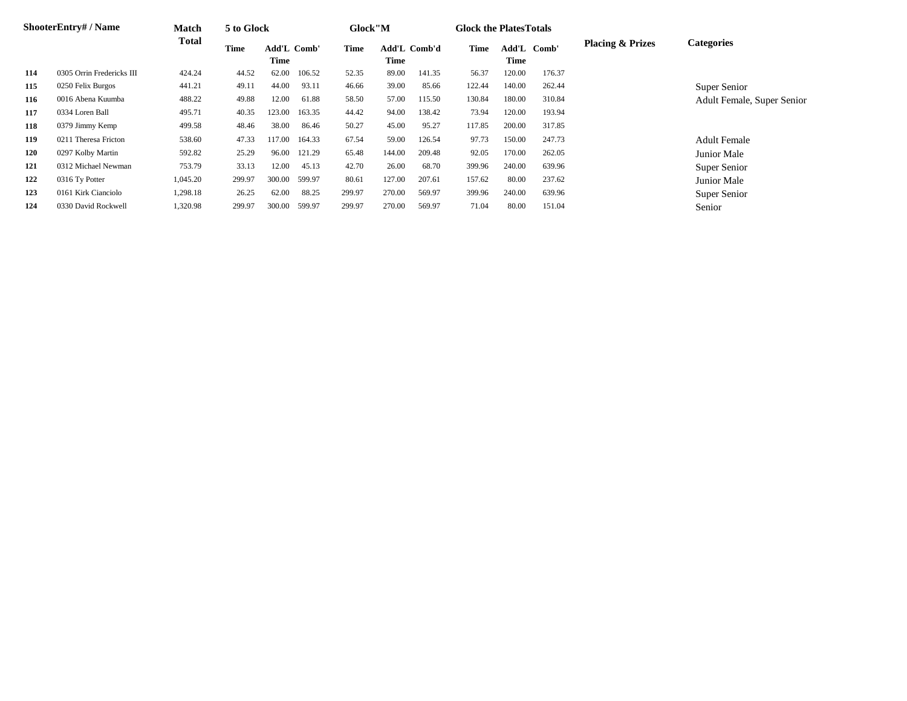|     | <b>ShooterEntry#/Name</b> | <b>Match</b> | 5 to Glock |                            |        | Glock"M |        |              | <b>Glock the Plates Totals</b> |               |        |                             |                            |
|-----|---------------------------|--------------|------------|----------------------------|--------|---------|--------|--------------|--------------------------------|---------------|--------|-----------------------------|----------------------------|
|     |                           | <b>Total</b> | Time       | <b>Add'L Comb'</b><br>Time |        | Time    | Time   | Add'L Comb'd | Time                           | Add'L<br>Time | Comb'  | <b>Placing &amp; Prizes</b> | <b>Categories</b>          |
| 114 | 0305 Orrin Fredericks III | 424.24       | 44.52      | 62.00                      | 106.52 | 52.35   | 89.00  | 141.35       | 56.37                          | 120.00        | 176.37 |                             |                            |
| 115 | 0250 Felix Burgos         | 441.21       | 49.11      | 44.00                      | 93.11  | 46.66   | 39.00  | 85.66        | 122.44                         | 140.00        | 262.44 |                             | Super Senior               |
| 116 | 0016 Abena Kuumba         | 488.22       | 49.88      | 12.00                      | 61.88  | 58.50   | 57.00  | 115.50       | 130.84                         | 180.00        | 310.84 |                             | Adult Female, Super Senior |
| 117 | 0334 Loren Ball           | 495.71       | 40.35      | 123.00                     | 163.35 | 44.42   | 94.00  | 138.42       | 73.94                          | 120.00        | 193.94 |                             |                            |
| 118 | 0379 Jimmy Kemp           | 499.58       | 48.46      | 38.00                      | 86.46  | 50.27   | 45.00  | 95.27        | 117.85                         | 200.00        | 317.85 |                             |                            |
| 119 | 0211 Theresa Fricton      | 538.60       | 47.33      | 117.00                     | 164.33 | 67.54   | 59.00  | 126.54       | 97.73                          | 150.00        | 247.73 |                             | <b>Adult Female</b>        |
| 120 | 0297 Kolby Martin         | 592.82       | 25.29      | 96.00                      | 121.29 | 65.48   | 144.00 | 209.48       | 92.05                          | 170.00        | 262.05 |                             | Junior Male                |
| 121 | 0312 Michael Newman       | 753.79       | 33.13      | 12.00                      | 45.13  | 42.70   | 26.00  | 68.70        | 399.96                         | 240.00        | 639.96 |                             | Super Senior               |
| 122 | 0316 Ty Potter            | 1,045.20     | 299.97     | 300.00                     | 599.97 | 80.61   | 127.00 | 207.61       | 157.62                         | 80.00         | 237.62 |                             | Junior Male                |
| 123 | 0161 Kirk Cianciolo       | 1,298.18     | 26.25      | 62.00                      | 88.25  | 299.97  | 270.00 | 569.97       | 399.96                         | 240.00        | 639.96 |                             | Super Senior               |
| 124 | 0330 David Rockwell       | 1,320.98     | 299.97     | 300.00                     | 599.97 | 299.97  | 270.00 | 569.97       | 71.04                          | 80.00         | 151.04 |                             | Senior                     |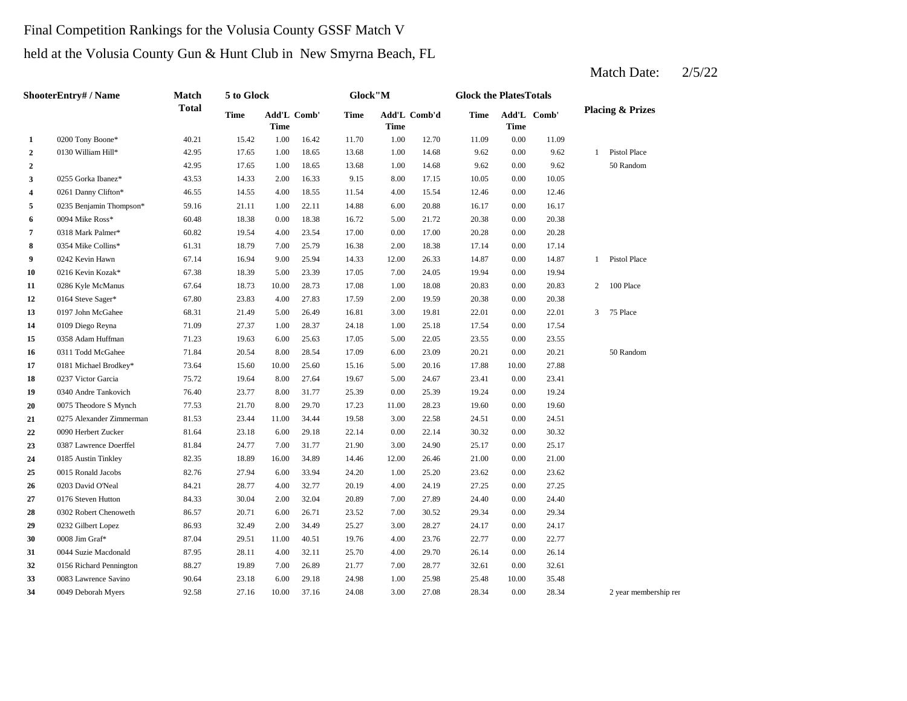### Final Competition Rankings for the Volusia County GSSF Match V

held at the Volusia County Gun & Hunt Club in New Smyrna Beach, FL

|              | ShooterEntry# / Name     | Match        | 5 to Glock  |       |             | Glock"M     |       |              | <b>Glock the PlatesTotals</b> |       |             |                              |
|--------------|--------------------------|--------------|-------------|-------|-------------|-------------|-------|--------------|-------------------------------|-------|-------------|------------------------------|
|              |                          | <b>Total</b> | <b>Time</b> | Time  | Add'L Comb' | <b>Time</b> | Time  | Add'L Comb'd | Time                          | Time  | Add'L Comb' | <b>Placing &amp; Prizes</b>  |
| 1            | 0200 Tony Boone*         | 40.21        | 15.42       | 1.00  | 16.42       | 11.70       | 1.00  | 12.70        | 11.09                         | 0.00  | 11.09       |                              |
| $\mathbf{2}$ | 0130 William Hill*       | 42.95        | 17.65       | 1.00  | 18.65       | 13.68       | 1.00  | 14.68        | 9.62                          | 0.00  | 9.62        | Pistol Place<br>$\mathbf{1}$ |
| 2            |                          | 42.95        | 17.65       | 1.00  | 18.65       | 13.68       | 1.00  | 14.68        | 9.62                          | 0.00  | 9.62        | 50 Random                    |
| 3            | 0255 Gorka Ibanez*       | 43.53        | 14.33       | 2.00  | 16.33       | 9.15        | 8.00  | 17.15        | 10.05                         | 0.00  | 10.05       |                              |
| 4            | 0261 Danny Clifton*      | 46.55        | 14.55       | 4.00  | 18.55       | 11.54       | 4.00  | 15.54        | 12.46                         | 0.00  | 12.46       |                              |
| 5            | 0235 Benjamin Thompson*  | 59.16        | 21.11       | 1.00  | 22.11       | 14.88       | 6.00  | 20.88        | 16.17                         | 0.00  | 16.17       |                              |
| 6            | 0094 Mike Ross*          | 60.48        | 18.38       | 0.00  | 18.38       | 16.72       | 5.00  | 21.72        | 20.38                         | 0.00  | 20.38       |                              |
| 7            | 0318 Mark Palmer*        | 60.82        | 19.54       | 4.00  | 23.54       | 17.00       | 0.00  | 17.00        | 20.28                         | 0.00  | 20.28       |                              |
| 8            | 0354 Mike Collins*       | 61.31        | 18.79       | 7.00  | 25.79       | 16.38       | 2.00  | 18.38        | 17.14                         | 0.00  | 17.14       |                              |
| 9            | 0242 Kevin Hawn          | 67.14        | 16.94       | 9.00  | 25.94       | 14.33       | 12.00 | 26.33        | 14.87                         | 0.00  | 14.87       | Pistol Place<br>$\mathbf{1}$ |
| 10           | 0216 Kevin Kozak*        | 67.38        | 18.39       | 5.00  | 23.39       | 17.05       | 7.00  | 24.05        | 19.94                         | 0.00  | 19.94       |                              |
| 11           | 0286 Kyle McManus        | 67.64        | 18.73       | 10.00 | 28.73       | 17.08       | 1.00  | 18.08        | 20.83                         | 0.00  | 20.83       | $\overline{c}$<br>100 Place  |
| 12           | 0164 Steve Sager*        | 67.80        | 23.83       | 4.00  | 27.83       | 17.59       | 2.00  | 19.59        | 20.38                         | 0.00  | 20.38       |                              |
| 13           | 0197 John McGahee        | 68.31        | 21.49       | 5.00  | 26.49       | 16.81       | 3.00  | 19.81        | 22.01                         | 0.00  | 22.01       | 75 Place<br>3                |
| 14           | 0109 Diego Reyna         | 71.09        | 27.37       | 1.00  | 28.37       | 24.18       | 1.00  | 25.18        | 17.54                         | 0.00  | 17.54       |                              |
| 15           | 0358 Adam Huffman        | 71.23        | 19.63       | 6.00  | 25.63       | 17.05       | 5.00  | 22.05        | 23.55                         | 0.00  | 23.55       |                              |
| 16           | 0311 Todd McGahee        | 71.84        | 20.54       | 8.00  | 28.54       | 17.09       | 6.00  | 23.09        | 20.21                         | 0.00  | 20.21       | 50 Random                    |
| 17           | 0181 Michael Brodkey*    | 73.64        | 15.60       | 10.00 | 25.60       | 15.16       | 5.00  | 20.16        | 17.88                         | 10.00 | 27.88       |                              |
| 18           | 0237 Victor Garcia       | 75.72        | 19.64       | 8.00  | 27.64       | 19.67       | 5.00  | 24.67        | 23.41                         | 0.00  | 23.41       |                              |
| 19           | 0340 Andre Tankovich     | 76.40        | 23.77       | 8.00  | 31.77       | 25.39       | 0.00  | 25.39        | 19.24                         | 0.00  | 19.24       |                              |
| 20           | 0075 Theodore S Mynch    | 77.53        | 21.70       | 8.00  | 29.70       | 17.23       | 11.00 | 28.23        | 19.60                         | 0.00  | 19.60       |                              |
| 21           | 0275 Alexander Zimmerman | 81.53        | 23.44       | 11.00 | 34.44       | 19.58       | 3.00  | 22.58        | 24.51                         | 0.00  | 24.51       |                              |
| 22           | 0090 Herbert Zucker      | 81.64        | 23.18       | 6.00  | 29.18       | 22.14       | 0.00  | 22.14        | 30.32                         | 0.00  | 30.32       |                              |
| 23           | 0387 Lawrence Doerffel   | 81.84        | 24.77       | 7.00  | 31.77       | 21.90       | 3.00  | 24.90        | 25.17                         | 0.00  | 25.17       |                              |
| 24           | 0185 Austin Tinkley      | 82.35        | 18.89       | 16.00 | 34.89       | 14.46       | 12.00 | 26.46        | 21.00                         | 0.00  | 21.00       |                              |
| 25           | 0015 Ronald Jacobs       | 82.76        | 27.94       | 6.00  | 33.94       | 24.20       | 1.00  | 25.20        | 23.62                         | 0.00  | 23.62       |                              |
| 26           | 0203 David O'Neal        | 84.21        | 28.77       | 4.00  | 32.77       | 20.19       | 4.00  | 24.19        | 27.25                         | 0.00  | 27.25       |                              |
| 27           | 0176 Steven Hutton       | 84.33        | 30.04       | 2.00  | 32.04       | 20.89       | 7.00  | 27.89        | 24.40                         | 0.00  | 24.40       |                              |
| 28           | 0302 Robert Chenoweth    | 86.57        | 20.71       | 6.00  | 26.71       | 23.52       | 7.00  | 30.52        | 29.34                         | 0.00  | 29.34       |                              |
| 29           | 0232 Gilbert Lopez       | 86.93        | 32.49       | 2.00  | 34.49       | 25.27       | 3.00  | 28.27        | 24.17                         | 0.00  | 24.17       |                              |
| 30           | 0008 Jim Graf*           | 87.04        | 29.51       | 11.00 | 40.51       | 19.76       | 4.00  | 23.76        | 22.77                         | 0.00  | 22.77       |                              |
| 31           | 0044 Suzie Macdonald     | 87.95        | 28.11       | 4.00  | 32.11       | 25.70       | 4.00  | 29.70        | 26.14                         | 0.00  | 26.14       |                              |
| 32           | 0156 Richard Pennington  | 88.27        | 19.89       | 7.00  | 26.89       | 21.77       | 7.00  | 28.77        | 32.61                         | 0.00  | 32.61       |                              |
| 33           | 0083 Lawrence Savino     | 90.64        | 23.18       | 6.00  | 29.18       | 24.98       | 1.00  | 25.98        | 25.48                         | 10.00 | 35.48       |                              |
| 34           | 0049 Deborah Myers       | 92.58        | 27.16       | 10.00 | 37.16       | 24.08       | 3.00  | 27.08        | 28.34                         | 0.00  | 28.34       | 2 year membership ren        |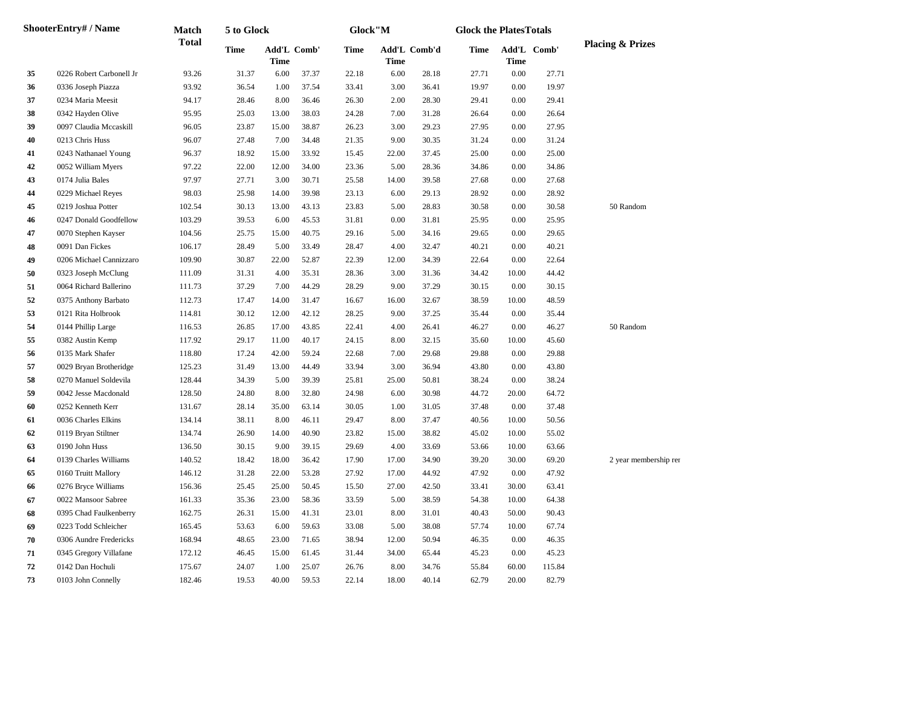|    | <b>ShooterEntry#/Name</b> | <b>Match</b> | 5 to Glock  |                                   |       | Glock"M |       |              | <b>Glock the PlatesTotals</b> |          |             |                             |
|----|---------------------------|--------------|-------------|-----------------------------------|-------|---------|-------|--------------|-------------------------------|----------|-------------|-----------------------------|
|    |                           | <b>Total</b> | <b>Time</b> | <b>Add'L Comb'</b><br><b>Time</b> |       | Time    | Time  | Add'L Comb'd | Time                          | Time     | Add'L Comb' | <b>Placing &amp; Prizes</b> |
| 35 | 0226 Robert Carbonell Jr  | 93.26        | 31.37       | 6.00                              | 37.37 | 22.18   | 6.00  | 28.18        | 27.71                         | 0.00     | 27.71       |                             |
| 36 | 0336 Joseph Piazza        | 93.92        | 36.54       | 1.00                              | 37.54 | 33.41   | 3.00  | 36.41        | 19.97                         | 0.00     | 19.97       |                             |
| 37 | 0234 Maria Meesit         | 94.17        | 28.46       | 8.00                              | 36.46 | 26.30   | 2.00  | 28.30        | 29.41                         | 0.00     | 29.41       |                             |
| 38 | 0342 Hayden Olive         | 95.95        | 25.03       | 13.00                             | 38.03 | 24.28   | 7.00  | 31.28        | 26.64                         | 0.00     | 26.64       |                             |
| 39 | 0097 Claudia Mccaskill    | 96.05        | 23.87       | 15.00                             | 38.87 | 26.23   | 3.00  | 29.23        | 27.95                         | 0.00     | 27.95       |                             |
| 40 | 0213 Chris Huss           | 96.07        | 27.48       | 7.00                              | 34.48 | 21.35   | 9.00  | 30.35        | 31.24                         | $0.00\,$ | 31.24       |                             |
| 41 | 0243 Nathanael Young      | 96.37        | 18.92       | 15.00                             | 33.92 | 15.45   | 22.00 | 37.45        | 25.00                         | $0.00\,$ | 25.00       |                             |
| 42 | 0052 William Myers        | 97.22        | 22.00       | 12.00                             | 34.00 | 23.36   | 5.00  | 28.36        | 34.86                         | 0.00     | 34.86       |                             |
| 43 | 0174 Julia Bales          | 97.97        | 27.71       | 3.00                              | 30.71 | 25.58   | 14.00 | 39.58        | 27.68                         | 0.00     | 27.68       |                             |
| 44 | 0229 Michael Reyes        | 98.03        | 25.98       | 14.00                             | 39.98 | 23.13   | 6.00  | 29.13        | 28.92                         | 0.00     | 28.92       |                             |
| 45 | 0219 Joshua Potter        | 102.54       | 30.13       | 13.00                             | 43.13 | 23.83   | 5.00  | 28.83        | 30.58                         | 0.00     | 30.58       | 50 Random                   |
| 46 | 0247 Donald Goodfellow    | 103.29       | 39.53       | 6.00                              | 45.53 | 31.81   | 0.00  | 31.81        | 25.95                         | 0.00     | 25.95       |                             |
| 47 | 0070 Stephen Kayser       | 104.56       | 25.75       | 15.00                             | 40.75 | 29.16   | 5.00  | 34.16        | 29.65                         | 0.00     | 29.65       |                             |
| 48 | 0091 Dan Fickes           | 106.17       | 28.49       | 5.00                              | 33.49 | 28.47   | 4.00  | 32.47        | 40.21                         | 0.00     | 40.21       |                             |
| 49 | 0206 Michael Cannizzaro   | 109.90       | 30.87       | 22.00                             | 52.87 | 22.39   | 12.00 | 34.39        | 22.64                         | 0.00     | 22.64       |                             |
| 50 | 0323 Joseph McClung       | 111.09       | 31.31       | 4.00                              | 35.31 | 28.36   | 3.00  | 31.36        | 34.42                         | 10.00    | 44.42       |                             |
| 51 | 0064 Richard Ballerino    | 111.73       | 37.29       | 7.00                              | 44.29 | 28.29   | 9.00  | 37.29        | 30.15                         | 0.00     | 30.15       |                             |
| 52 | 0375 Anthony Barbato      | 112.73       | 17.47       | 14.00                             | 31.47 | 16.67   | 16.00 | 32.67        | 38.59                         | 10.00    | 48.59       |                             |
| 53 | 0121 Rita Holbrook        | 114.81       | 30.12       | 12.00                             | 42.12 | 28.25   | 9.00  | 37.25        | 35.44                         | 0.00     | 35.44       |                             |
| 54 | 0144 Phillip Large        | 116.53       | 26.85       | 17.00                             | 43.85 | 22.41   | 4.00  | 26.41        | 46.27                         | 0.00     | 46.27       | 50 Random                   |
| 55 | 0382 Austin Kemp          | 117.92       | 29.17       | 11.00                             | 40.17 | 24.15   | 8.00  | 32.15        | 35.60                         | 10.00    | 45.60       |                             |
| 56 | 0135 Mark Shafer          | 118.80       | 17.24       | 42.00                             | 59.24 | 22.68   | 7.00  | 29.68        | 29.88                         | 0.00     | 29.88       |                             |
| 57 | 0029 Bryan Brotheridge    | 125.23       | 31.49       | 13.00                             | 44.49 | 33.94   | 3.00  | 36.94        | 43.80                         | 0.00     | 43.80       |                             |
| 58 | 0270 Manuel Soldevila     | 128.44       | 34.39       | 5.00                              | 39.39 | 25.81   | 25.00 | 50.81        | 38.24                         | 0.00     | 38.24       |                             |
| 59 | 0042 Jesse Macdonald      | 128.50       | 24.80       | 8.00                              | 32.80 | 24.98   | 6.00  | 30.98        | 44.72                         | 20.00    | 64.72       |                             |
| 60 | 0252 Kenneth Kerr         | 131.67       | 28.14       | 35.00                             | 63.14 | 30.05   | 1.00  | 31.05        | 37.48                         | 0.00     | 37.48       |                             |
| 61 | 0036 Charles Elkins       | 134.14       | 38.11       | 8.00                              | 46.11 | 29.47   | 8.00  | 37.47        | 40.56                         | 10.00    | 50.56       |                             |
| 62 | 0119 Bryan Stiltner       | 134.74       | 26.90       | 14.00                             | 40.90 | 23.82   | 15.00 | 38.82        | 45.02                         | 10.00    | 55.02       |                             |
| 63 | 0190 John Huss            | 136.50       | 30.15       | 9.00                              | 39.15 | 29.69   | 4.00  | 33.69        | 53.66                         | 10.00    | 63.66       |                             |
| 64 | 0139 Charles Williams     | 140.52       | 18.42       | 18.00                             | 36.42 | 17.90   | 17.00 | 34.90        | 39.20                         | 30.00    | 69.20       | 2 year membership ren       |
| 65 | 0160 Truitt Mallory       | 146.12       | 31.28       | 22.00                             | 53.28 | 27.92   | 17.00 | 44.92        | 47.92                         | 0.00     | 47.92       |                             |
| 66 | 0276 Bryce Williams       | 156.36       | 25.45       | 25.00                             | 50.45 | 15.50   | 27.00 | 42.50        | 33.41                         | 30.00    | 63.41       |                             |
| 67 | 0022 Mansoor Sabree       | 161.33       | 35.36       | 23.00                             | 58.36 | 33.59   | 5.00  | 38.59        | 54.38                         | 10.00    | 64.38       |                             |
| 68 | 0395 Chad Faulkenberry    | 162.75       | 26.31       | 15.00                             | 41.31 | 23.01   | 8.00  | 31.01        | 40.43                         | 50.00    | 90.43       |                             |
| 69 | 0223 Todd Schleicher      | 165.45       | 53.63       | 6.00                              | 59.63 | 33.08   | 5.00  | 38.08        | 57.74                         | 10.00    | 67.74       |                             |
| 70 | 0306 Aundre Fredericks    | 168.94       | 48.65       | 23.00                             | 71.65 | 38.94   | 12.00 | 50.94        | 46.35                         | 0.00     | 46.35       |                             |
| 71 | 0345 Gregory Villafane    | 172.12       | 46.45       | 15.00                             | 61.45 | 31.44   | 34.00 | 65.44        | 45.23                         | 0.00     | 45.23       |                             |
| 72 | 0142 Dan Hochuli          | 175.67       | 24.07       | 1.00                              | 25.07 | 26.76   | 8.00  | 34.76        | 55.84                         | 60.00    | 115.84      |                             |
| 73 | 0103 John Connelly        | 182.46       | 19.53       | 40.00                             | 59.53 | 22.14   | 18.00 | 40.14        | 62.79                         | 20.00    | 82.79       |                             |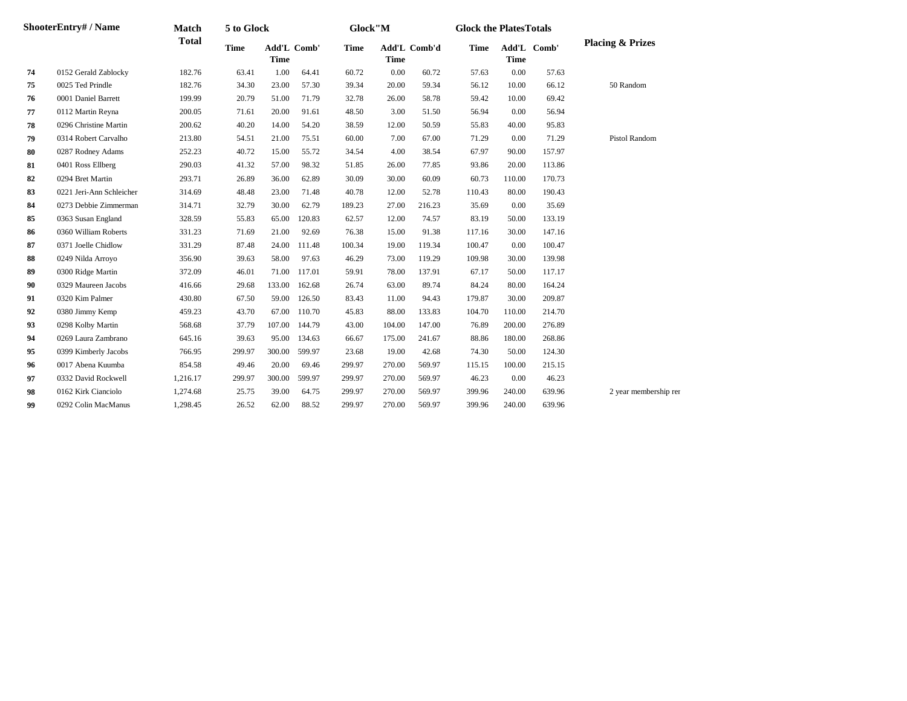| <b>ShooterEntry#/Name</b> |                          | <b>Match</b> | 5 to Glock  |                            |               | Glock"M     |                             |        | <b>Glock the PlatesTotals</b> |             |             |                             |
|---------------------------|--------------------------|--------------|-------------|----------------------------|---------------|-------------|-----------------------------|--------|-------------------------------|-------------|-------------|-----------------------------|
|                           |                          | <b>Total</b> | <b>Time</b> | Add'L Comb'<br><b>Time</b> |               | <b>Time</b> | Add'L Comb'd<br><b>Time</b> |        | Time                          | <b>Time</b> | Add'L Comb' | <b>Placing &amp; Prizes</b> |
| 74                        | 0152 Gerald Zablocky     | 182.76       | 63.41       | 1.00                       | 64.41         | 60.72       | 0.00                        | 60.72  | 57.63                         | 0.00        | 57.63       |                             |
| 75                        | 0025 Ted Prindle         | 182.76       | 34.30       | 23.00                      | 57.30         | 39.34       | 20.00                       | 59.34  | 56.12                         | 10.00       | 66.12       | 50 Random                   |
| 76                        | 0001 Daniel Barrett      | 199.99       | 20.79       | 51.00                      | 71.79         | 32.78       | 26.00                       | 58.78  | 59.42                         | 10.00       | 69.42       |                             |
| 77                        | 0112 Martin Reyna        | 200.05       | 71.61       | 20.00                      | 91.61         | 48.50       | 3.00                        | 51.50  | 56.94                         | 0.00        | 56.94       |                             |
| 78                        | 0296 Christine Martin    | 200.62       | 40.20       | 14.00                      | 54.20         | 38.59       | 12.00                       | 50.59  | 55.83                         | 40.00       | 95.83       |                             |
| 79                        | 0314 Robert Carvalho     | 213.80       | 54.51       | 21.00                      | 75.51         | 60.00       | 7.00                        | 67.00  | 71.29                         | 0.00        | 71.29       | <b>Pistol Random</b>        |
| 80                        | 0287 Rodney Adams        | 252.23       | 40.72       | 15.00                      | 55.72         | 34.54       | 4.00                        | 38.54  | 67.97                         | 90.00       | 157.97      |                             |
| 81                        | 0401 Ross Ellberg        | 290.03       | 41.32       | 57.00                      | 98.32         | 51.85       | 26.00                       | 77.85  | 93.86                         | 20.00       | 113.86      |                             |
| 82                        | 0294 Bret Martin         | 293.71       | 26.89       | 36.00                      | 62.89         | 30.09       | 30.00                       | 60.09  | 60.73                         | 110.00      | 170.73      |                             |
| 83                        | 0221 Jeri-Ann Schleicher | 314.69       | 48.48       | 23.00                      | 71.48         | 40.78       | 12.00                       | 52.78  | 110.43                        | 80.00       | 190.43      |                             |
| 84                        | 0273 Debbie Zimmerman    | 314.71       | 32.79       | 30.00                      | 62.79         | 189.23      | 27.00                       | 216.23 | 35.69                         | 0.00        | 35.69       |                             |
| 85                        | 0363 Susan England       | 328.59       | 55.83       | 65.00                      | 120.83        | 62.57       | 12.00                       | 74.57  | 83.19                         | 50.00       | 133.19      |                             |
| 86                        | 0360 William Roberts     | 331.23       | 71.69       | 21.00                      | 92.69         | 76.38       | 15.00                       | 91.38  | 117.16                        | 30.00       | 147.16      |                             |
| 87                        | 0371 Joelle Chidlow      | 331.29       | 87.48       | 24.00                      | 111.48        | 100.34      | 19.00                       | 119.34 | 100.47                        | 0.00        | 100.47      |                             |
| 88                        | 0249 Nilda Arroyo        | 356.90       | 39.63       | 58.00                      | 97.63         | 46.29       | 73.00                       | 119.29 | 109.98                        | 30.00       | 139.98      |                             |
| 89                        | 0300 Ridge Martin        | 372.09       | 46.01       |                            | 71.00 117.01  | 59.91       | 78.00                       | 137.91 | 67.17                         | 50.00       | 117.17      |                             |
| 90                        | 0329 Maureen Jacobs      | 416.66       | 29.68       |                            | 133.00 162.68 | 26.74       | 63.00                       | 89.74  | 84.24                         | 80.00       | 164.24      |                             |
| 91                        | 0320 Kim Palmer          | 430.80       | 67.50       |                            | 59.00 126.50  | 83.43       | 11.00                       | 94.43  | 179.87                        | 30.00       | 209.87      |                             |
| 92                        | 0380 Jimmy Kemp          | 459.23       | 43.70       | 67.00                      | 110.70        | 45.83       | 88.00                       | 133.83 | 104.70                        | 110.00      | 214.70      |                             |
| 93                        | 0298 Kolby Martin        | 568.68       | 37.79       | 107.00                     | 144.79        | 43.00       | 104.00                      | 147.00 | 76.89                         | 200.00      | 276.89      |                             |
| 94                        | 0269 Laura Zambrano      | 645.16       | 39.63       | 95.00                      | 134.63        | 66.67       | 175.00                      | 241.67 | 88.86                         | 180.00      | 268.86      |                             |
| 95                        | 0399 Kimberly Jacobs     | 766.95       | 299.97      | 300.00                     | 599.97        | 23.68       | 19.00                       | 42.68  | 74.30                         | 50.00       | 124.30      |                             |
| 96                        | 0017 Abena Kuumba        | 854.58       | 49.46       | 20.00                      | 69.46         | 299.97      | 270.00                      | 569.97 | 115.15                        | 100.00      | 215.15      |                             |
| 97                        | 0332 David Rockwell      | 1,216.17     | 299.97      | 300.00                     | 599.97        | 299.97      | 270.00                      | 569.97 | 46.23                         | 0.00        | 46.23       |                             |
| 98                        | 0162 Kirk Cianciolo      | 1,274.68     | 25.75       | 39.00                      | 64.75         | 299.97      | 270.00                      | 569.97 | 399.96                        | 240.00      | 639.96      | 2 year membership ren       |
| 99                        | 0292 Colin MacManus      | 1,298.45     | 26.52       | 62.00                      | 88.52         | 299.97      | 270.00                      | 569.97 | 399.96                        | 240.00      | 639.96      |                             |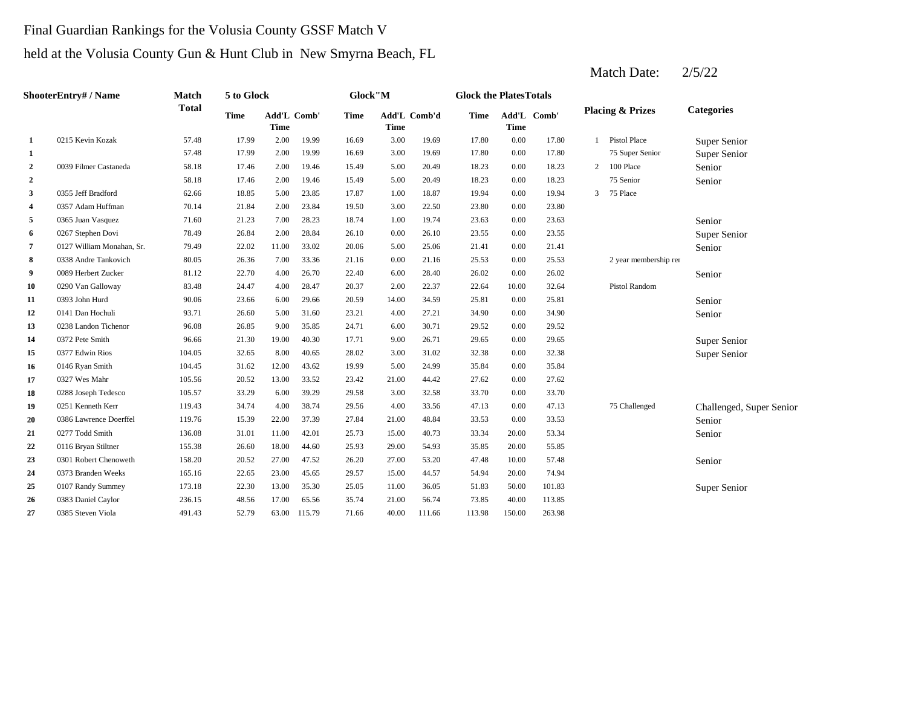### Final Guardian Rankings for the Volusia County GSSF Match V

### held at the Volusia County Gun & Hunt Club in New Smyrna Beach, FL

| <b>ShooterEntry#/Name</b> |                           | <b>Match</b> | 5 to Glock  |                     |        | Glock"M     |             | <b>Glock the PlatesTotals</b> |             |             |             |   |                             |                          |
|---------------------------|---------------------------|--------------|-------------|---------------------|--------|-------------|-------------|-------------------------------|-------------|-------------|-------------|---|-----------------------------|--------------------------|
|                           |                           | <b>Total</b> | <b>Time</b> | Add'L Comb'<br>Time |        | <b>Time</b> | <b>Time</b> | Add'L Comb'd                  | <b>Time</b> | <b>Time</b> | Add'L Comb' |   | <b>Placing &amp; Prizes</b> | <b>Categories</b>        |
| 1                         | 0215 Kevin Kozak          | 57.48        | 17.99       | 2.00                | 19.99  | 16.69       | 3.00        | 19.69                         | 17.80       | 0.00        | 17.80       |   | Pistol Place                | Super Senior             |
| 1                         |                           | 57.48        | 17.99       | 2.00                | 19.99  | 16.69       | 3.00        | 19.69                         | 17.80       | 0.00        | 17.80       |   | 75 Super Senior             | Super Senior             |
| $\mathbf{2}$              | 0039 Filmer Castaneda     | 58.18        | 17.46       | 2.00                | 19.46  | 15.49       | 5.00        | 20.49                         | 18.23       | 0.00        | 18.23       | 2 | 100 Place                   | Senior                   |
| $\mathbf{2}$              |                           | 58.18        | 17.46       | 2.00                | 19.46  | 15.49       | 5.00        | 20.49                         | 18.23       | 0.00        | 18.23       |   | 75 Senior                   | Senior                   |
| 3                         | 0355 Jeff Bradford        | 62.66        | 18.85       | 5.00                | 23.85  | 17.87       | 1.00        | 18.87                         | 19.94       | 0.00        | 19.94       | 3 | 75 Place                    |                          |
| 4                         | 0357 Adam Huffman         | 70.14        | 21.84       | 2.00                | 23.84  | 19.50       | 3.00        | 22.50                         | 23.80       | 0.00        | 23.80       |   |                             |                          |
| 5                         | 0365 Juan Vasquez         | 71.60        | 21.23       | 7.00                | 28.23  | 18.74       | 1.00        | 19.74                         | 23.63       | 0.00        | 23.63       |   |                             | Senior                   |
| 6                         | 0267 Stephen Dovi         | 78.49        | 26.84       | 2.00                | 28.84  | 26.10       | 0.00        | 26.10                         | 23.55       | 0.00        | 23.55       |   |                             | Super Senior             |
| 7                         | 0127 William Monahan, Sr. | 79.49        | 22.02       | 11.00               | 33.02  | 20.06       | 5.00        | 25.06                         | 21.41       | 0.00        | 21.41       |   |                             | Senior                   |
| 8                         | 0338 Andre Tankovich      | 80.05        | 26.36       | 7.00                | 33.36  | 21.16       | 0.00        | 21.16                         | 25.53       | 0.00        | 25.53       |   | 2 year membership ren       |                          |
| 9                         | 0089 Herbert Zucker       | 81.12        | 22.70       | 4.00                | 26.70  | 22.40       | 6.00        | 28.40                         | 26.02       | 0.00        | 26.02       |   |                             | Senior                   |
| 10                        | 0290 Van Galloway         | 83.48        | 24.47       | 4.00                | 28.47  | 20.37       | 2.00        | 22.37                         | 22.64       | 10.00       | 32.64       |   | Pistol Random               |                          |
| 11                        | 0393 John Hurd            | 90.06        | 23.66       | 6.00                | 29.66  | 20.59       | 14.00       | 34.59                         | 25.81       | 0.00        | 25.81       |   |                             | Senior                   |
| 12                        | 0141 Dan Hochuli          | 93.71        | 26.60       | 5.00                | 31.60  | 23.21       | 4.00        | 27.21                         | 34.90       | 0.00        | 34.90       |   |                             | Senior                   |
| 13                        | 0238 Landon Tichenor      | 96.08        | 26.85       | 9.00                | 35.85  | 24.71       | 6.00        | 30.71                         | 29.52       | 0.00        | 29.52       |   |                             |                          |
| 14                        | 0372 Pete Smith           | 96.66        | 21.30       | 19.00               | 40.30  | 17.71       | 9.00        | 26.71                         | 29.65       | 0.00        | 29.65       |   |                             | Super Senior             |
| 15                        | 0377 Edwin Rios           | 104.05       | 32.65       | 8.00                | 40.65  | 28.02       | 3.00        | 31.02                         | 32.38       | 0.00        | 32.38       |   |                             | Super Senior             |
| 16                        | 0146 Ryan Smith           | 104.45       | 31.62       | 12.00               | 43.62  | 19.99       | 5.00        | 24.99                         | 35.84       | 0.00        | 35.84       |   |                             |                          |
| 17                        | 0327 Wes Mahr             | 105.56       | 20.52       | 13.00               | 33.52  | 23.42       | 21.00       | 44.42                         | 27.62       | 0.00        | 27.62       |   |                             |                          |
| 18                        | 0288 Joseph Tedesco       | 105.57       | 33.29       | 6.00                | 39.29  | 29.58       | 3.00        | 32.58                         | 33.70       | 0.00        | 33.70       |   |                             |                          |
| 19                        | 0251 Kenneth Kerr         | 119.43       | 34.74       | 4.00                | 38.74  | 29.56       | 4.00        | 33.56                         | 47.13       | 0.00        | 47.13       |   | 75 Challenged               | Challenged, Super Senior |
| 20                        | 0386 Lawrence Doerffel    | 119.76       | 15.39       | 22.00               | 37.39  | 27.84       | 21.00       | 48.84                         | 33.53       | 0.00        | 33.53       |   |                             | Senior                   |
| 21                        | 0277 Todd Smith           | 136.08       | 31.01       | 11.00               | 42.01  | 25.73       | 15.00       | 40.73                         | 33.34       | 20.00       | 53.34       |   |                             | Senior                   |
| 22                        | 0116 Bryan Stiltner       | 155.38       | 26.60       | 18.00               | 44.60  | 25.93       | 29.00       | 54.93                         | 35.85       | 20.00       | 55.85       |   |                             |                          |
| 23                        | 0301 Robert Chenoweth     | 158.20       | 20.52       | 27.00               | 47.52  | 26.20       | 27.00       | 53.20                         | 47.48       | 10.00       | 57.48       |   |                             | Senior                   |
| 24                        | 0373 Branden Weeks        | 165.16       | 22.65       | 23.00               | 45.65  | 29.57       | 15.00       | 44.57                         | 54.94       | 20.00       | 74.94       |   |                             |                          |
| 25                        | 0107 Randy Summey         | 173.18       | 22.30       | 13.00               | 35.30  | 25.05       | 11.00       | 36.05                         | 51.83       | 50.00       | 101.83      |   |                             | Super Senior             |
| 26                        | 0383 Daniel Caylor        | 236.15       | 48.56       | 17.00               | 65.56  | 35.74       | 21.00       | 56.74                         | 73.85       | 40.00       | 113.85      |   |                             |                          |
| 27                        | 0385 Steven Viola         | 491.43       | 52.79       | 63.00               | 115.79 | 71.66       | 40.00       | 111.66                        | 113.98      | 150.00      | 263.98      |   |                             |                          |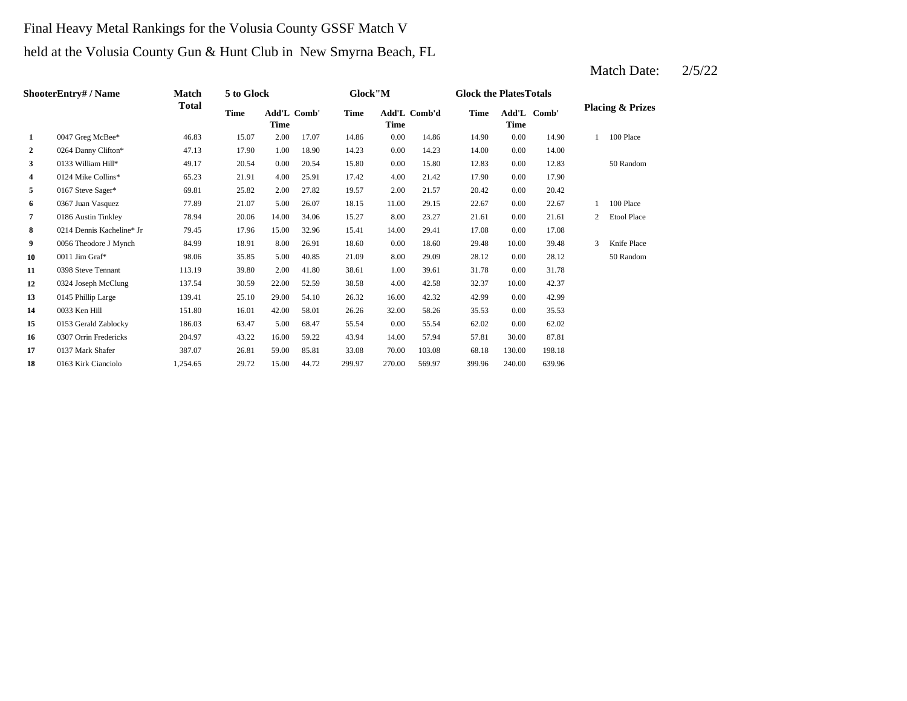### Final Heavy Metal Rankings for the Volusia County GSSF Match V

# held at the Volusia County Gun & Hunt Club in New Smyrna Beach, FL

|                | ShooterEntry# / Name      | <b>Match</b> | 5 to Glock |             |             | Glock"M |        |              | <b>Glock the PlatesTotals</b> |             |             |   |                             |
|----------------|---------------------------|--------------|------------|-------------|-------------|---------|--------|--------------|-------------------------------|-------------|-------------|---|-----------------------------|
|                |                           | <b>Total</b> | Time       | <b>Time</b> | Add'L Comb' | Time    | Time   | Add'L Comb'd | <b>Time</b>                   | <b>Time</b> | Add'L Comb' |   | <b>Placing &amp; Prizes</b> |
| 1              | 0047 Greg McBee*          | 46.83        | 15.07      | 2.00        | 17.07       | 14.86   | 0.00   | 14.86        | 14.90                         | 0.00        | 14.90       |   | 100 Place                   |
| $\overline{2}$ | 0264 Danny Clifton*       | 47.13        | 17.90      | 1.00        | 18.90       | 14.23   | 0.00   | 14.23        | 14.00                         | 0.00        | 14.00       |   |                             |
| 3              | 0133 William Hill*        | 49.17        | 20.54      | 0.00        | 20.54       | 15.80   | 0.00   | 15.80        | 12.83                         | 0.00        | 12.83       |   | 50 Random                   |
| 4              | 0124 Mike Collins*        | 65.23        | 21.91      | 4.00        | 25.91       | 17.42   | 4.00   | 21.42        | 17.90                         | 0.00        | 17.90       |   |                             |
| 5              | 0167 Steve Sager*         | 69.81        | 25.82      | 2.00        | 27.82       | 19.57   | 2.00   | 21.57        | 20.42                         | 0.00        | 20.42       |   |                             |
| 6              | 0367 Juan Vasquez         | 77.89        | 21.07      | 5.00        | 26.07       | 18.15   | 11.00  | 29.15        | 22.67                         | 0.00        | 22.67       |   | 100 Place                   |
| 7              | 0186 Austin Tinkley       | 78.94        | 20.06      | 14.00       | 34.06       | 15.27   | 8.00   | 23.27        | 21.61                         | 0.00        | 21.61       | 2 | <b>Etool Place</b>          |
| 8              | 0214 Dennis Kacheline* Jr | 79.45        | 17.96      | 15.00       | 32.96       | 15.41   | 14.00  | 29.41        | 17.08                         | 0.00        | 17.08       |   |                             |
| 9              | 0056 Theodore J Mynch     | 84.99        | 18.91      | 8.00        | 26.91       | 18.60   | 0.00   | 18.60        | 29.48                         | 10.00       | 39.48       | 3 | Knife Place                 |
| 10             | 0011 Jim Graf*            | 98.06        | 35.85      | 5.00        | 40.85       | 21.09   | 8.00   | 29.09        | 28.12                         | 0.00        | 28.12       |   | 50 Random                   |
| 11             | 0398 Steve Tennant        | 113.19       | 39.80      | 2.00        | 41.80       | 38.61   | 1.00   | 39.61        | 31.78                         | 0.00        | 31.78       |   |                             |
| 12             | 0324 Joseph McClung       | 137.54       | 30.59      | 22.00       | 52.59       | 38.58   | 4.00   | 42.58        | 32.37                         | 10.00       | 42.37       |   |                             |
| 13             | 0145 Phillip Large        | 139.41       | 25.10      | 29.00       | 54.10       | 26.32   | 16.00  | 42.32        | 42.99                         | 0.00        | 42.99       |   |                             |
| 14             | 0033 Ken Hill             | 151.80       | 16.01      | 42.00       | 58.01       | 26.26   | 32.00  | 58.26        | 35.53                         | 0.00        | 35.53       |   |                             |
| 15             | 0153 Gerald Zablocky      | 186.03       | 63.47      | 5.00        | 68.47       | 55.54   | 0.00   | 55.54        | 62.02                         | 0.00        | 62.02       |   |                             |
| 16             | 0307 Orrin Fredericks     | 204.97       | 43.22      | 16.00       | 59.22       | 43.94   | 14.00  | 57.94        | 57.81                         | 30.00       | 87.81       |   |                             |
| 17             | 0137 Mark Shafer          | 387.07       | 26.81      | 59.00       | 85.81       | 33.08   | 70.00  | 103.08       | 68.18                         | 130.00      | 198.18      |   |                             |
| 18             | 0163 Kirk Cianciolo       | 1,254.65     | 29.72      | 15.00       | 44.72       | 299.97  | 270.00 | 569.97       | 399.96                        | 240.00      | 639.96      |   |                             |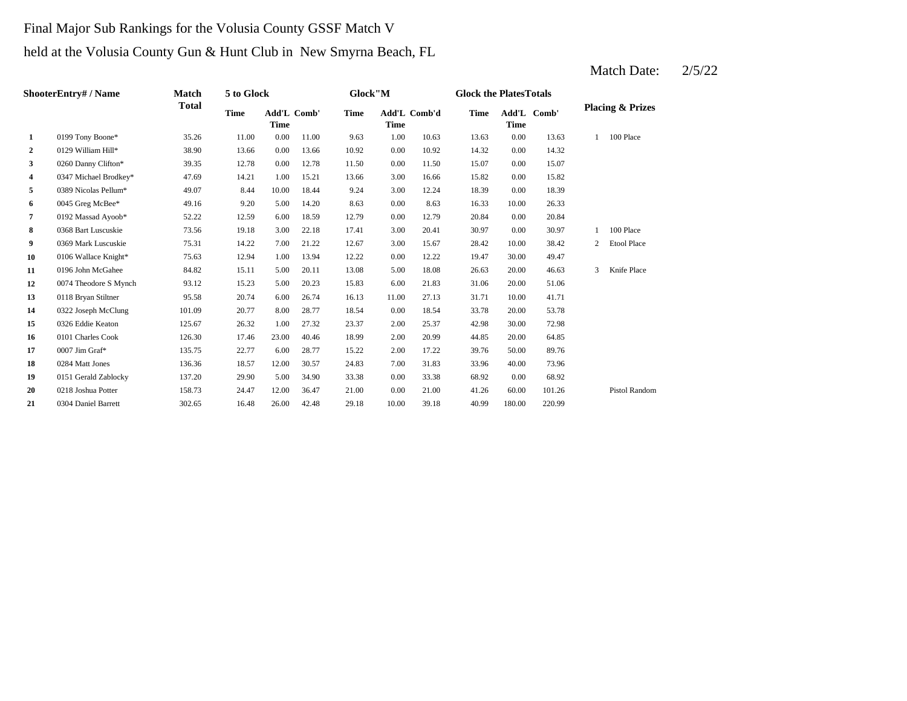### Final Major Sub Rankings for the Volusia County GSSF Match V

### held at the Volusia County Gun & Hunt Club in New Smyrna Beach, FL

| ShooterEntry# / Name |                       | <b>Match</b> | 5 to Glock  |                            |       | Glock"M     |       |              |             | <b>Glock the PlatesTotals</b> |             |                |                             |
|----------------------|-----------------------|--------------|-------------|----------------------------|-------|-------------|-------|--------------|-------------|-------------------------------|-------------|----------------|-----------------------------|
|                      |                       | <b>Total</b> | <b>Time</b> | Add'L Comb'<br><b>Time</b> |       | <b>Time</b> | Time  | Add'L Comb'd | <b>Time</b> | <b>Time</b>                   | Add'L Comb' |                | <b>Placing &amp; Prizes</b> |
| $\mathbf{1}$         | 0199 Tony Boone*      | 35.26        | 11.00       | 0.00                       | 11.00 | 9.63        | 1.00  | 10.63        | 13.63       | 0.00                          | 13.63       |                | 100 Place                   |
| $\mathbf{2}$         | 0129 William Hill*    | 38.90        | 13.66       | 0.00                       | 13.66 | 10.92       | 0.00  | 10.92        | 14.32       | 0.00                          | 14.32       |                |                             |
| 3                    | 0260 Danny Clifton*   | 39.35        | 12.78       | 0.00                       | 12.78 | 11.50       | 0.00  | 11.50        | 15.07       | 0.00                          | 15.07       |                |                             |
| 4                    | 0347 Michael Brodkey* | 47.69        | 14.21       | 1.00                       | 15.21 | 13.66       | 3.00  | 16.66        | 15.82       | 0.00                          | 15.82       |                |                             |
| 5                    | 0389 Nicolas Pellum*  | 49.07        | 8.44        | 10.00                      | 18.44 | 9.24        | 3.00  | 12.24        | 18.39       | 0.00                          | 18.39       |                |                             |
| 6                    | 0045 Greg McBee*      | 49.16        | 9.20        | 5.00                       | 14.20 | 8.63        | 0.00  | 8.63         | 16.33       | 10.00                         | 26.33       |                |                             |
| 7                    | 0192 Massad Ayoob*    | 52.22        | 12.59       | 6.00                       | 18.59 | 12.79       | 0.00  | 12.79        | 20.84       | 0.00                          | 20.84       |                |                             |
| 8                    | 0368 Bart Luscuskie   | 73.56        | 19.18       | 3.00                       | 22.18 | 17.41       | 3.00  | 20.41        | 30.97       | 0.00                          | 30.97       |                | 100 Place                   |
| 9                    | 0369 Mark Luscuskie   | 75.31        | 14.22       | 7.00                       | 21.22 | 12.67       | 3.00  | 15.67        | 28.42       | 10.00                         | 38.42       | $\overline{2}$ | <b>Etool Place</b>          |
| 10                   | 0106 Wallace Knight*  | 75.63        | 12.94       | 1.00                       | 13.94 | 12.22       | 0.00  | 12.22        | 19.47       | 30.00                         | 49.47       |                |                             |
| 11                   | 0196 John McGahee     | 84.82        | 15.11       | 5.00                       | 20.11 | 13.08       | 5.00  | 18.08        | 26.63       | 20.00                         | 46.63       | 3              | Knife Place                 |
| 12                   | 0074 Theodore S Mynch | 93.12        | 15.23       | 5.00                       | 20.23 | 15.83       | 6.00  | 21.83        | 31.06       | 20.00                         | 51.06       |                |                             |
| 13                   | 0118 Bryan Stiltner   | 95.58        | 20.74       | 6.00                       | 26.74 | 16.13       | 11.00 | 27.13        | 31.71       | 10.00                         | 41.71       |                |                             |
| 14                   | 0322 Joseph McClung   | 101.09       | 20.77       | 8.00                       | 28.77 | 18.54       | 0.00  | 18.54        | 33.78       | 20.00                         | 53.78       |                |                             |
| 15                   | 0326 Eddie Keaton     | 125.67       | 26.32       | 1.00                       | 27.32 | 23.37       | 2.00  | 25.37        | 42.98       | 30.00                         | 72.98       |                |                             |
| 16                   | 0101 Charles Cook     | 126.30       | 17.46       | 23.00                      | 40.46 | 18.99       | 2.00  | 20.99        | 44.85       | 20.00                         | 64.85       |                |                             |
| 17                   | 0007 Jim Graf*        | 135.75       | 22.77       | 6.00                       | 28.77 | 15.22       | 2.00  | 17.22        | 39.76       | 50.00                         | 89.76       |                |                             |
| 18                   | 0284 Matt Jones       | 136.36       | 18.57       | 12.00                      | 30.57 | 24.83       | 7.00  | 31.83        | 33.96       | 40.00                         | 73.96       |                |                             |
| 19                   | 0151 Gerald Zablocky  | 137.20       | 29.90       | 5.00                       | 34.90 | 33.38       | 0.00  | 33.38        | 68.92       | 0.00                          | 68.92       |                |                             |
| 20                   | 0218 Joshua Potter    | 158.73       | 24.47       | 12.00                      | 36.47 | 21.00       | 0.00  | 21.00        | 41.26       | 60.00                         | 101.26      |                | <b>Pistol Random</b>        |
| 21                   | 0304 Daniel Barrett   | 302.65       | 16.48       | 26.00                      | 42.48 | 29.18       | 10.00 | 39.18        | 40.99       | 180.00                        | 220.99      |                |                             |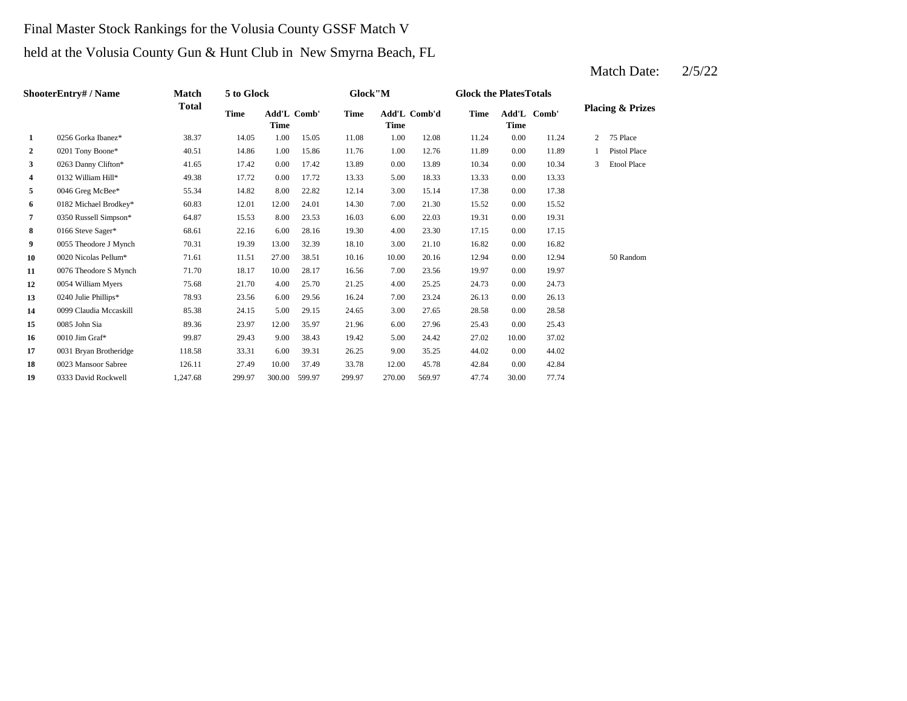### Final Master Stock Rankings for the Volusia County GSSF Match V

held at the Volusia County Gun & Hunt Club in New Smyrna Beach, FL

|              | ShooterEntry# / Name   | Match        | 5 to Glock |                            |        | Glock"M |        |              | <b>Glock the PlatesTotals</b> |       |             |   |                             |
|--------------|------------------------|--------------|------------|----------------------------|--------|---------|--------|--------------|-------------------------------|-------|-------------|---|-----------------------------|
|              |                        | <b>Total</b> | Time       | Add'L Comb'<br><b>Time</b> |        | Time    | Time   | Add'L Comb'd | Time                          | Time  | Add'L Comb' |   | <b>Placing &amp; Prizes</b> |
| 1            | 0256 Gorka Ibanez*     | 38.37        | 14.05      | 1.00                       | 15.05  | 11.08   | 1.00   | 12.08        | 11.24                         | 0.00  | 11.24       | 2 | 75 Place                    |
| $\mathbf{2}$ | 0201 Tony Boone*       | 40.51        | 14.86      | 1.00                       | 15.86  | 11.76   | 1.00   | 12.76        | 11.89                         | 0.00  | 11.89       |   | Pistol Place                |
| 3            | 0263 Danny Clifton*    | 41.65        | 17.42      | 0.00                       | 17.42  | 13.89   | 0.00   | 13.89        | 10.34                         | 0.00  | 10.34       | 3 | <b>Etool Place</b>          |
| 4            | 0132 William Hill*     | 49.38        | 17.72      | 0.00                       | 17.72  | 13.33   | 5.00   | 18.33        | 13.33                         | 0.00  | 13.33       |   |                             |
| 5            | 0046 Greg McBee*       | 55.34        | 14.82      | 8.00                       | 22.82  | 12.14   | 3.00   | 15.14        | 17.38                         | 0.00  | 17.38       |   |                             |
| 6            | 0182 Michael Brodkey*  | 60.83        | 12.01      | 12.00                      | 24.01  | 14.30   | 7.00   | 21.30        | 15.52                         | 0.00  | 15.52       |   |                             |
| 7            | 0350 Russell Simpson*  | 64.87        | 15.53      | 8.00                       | 23.53  | 16.03   | 6.00   | 22.03        | 19.31                         | 0.00  | 19.31       |   |                             |
| 8            | 0166 Steve Sager*      | 68.61        | 22.16      | 6.00                       | 28.16  | 19.30   | 4.00   | 23.30        | 17.15                         | 0.00  | 17.15       |   |                             |
| 9            | 0055 Theodore J Mynch  | 70.31        | 19.39      | 13.00                      | 32.39  | 18.10   | 3.00   | 21.10        | 16.82                         | 0.00  | 16.82       |   |                             |
| 10           | 0020 Nicolas Pellum*   | 71.61        | 11.51      | 27.00                      | 38.51  | 10.16   | 10.00  | 20.16        | 12.94                         | 0.00  | 12.94       |   | 50 Random                   |
| 11           | 0076 Theodore S Mynch  | 71.70        | 18.17      | 10.00                      | 28.17  | 16.56   | 7.00   | 23.56        | 19.97                         | 0.00  | 19.97       |   |                             |
| 12           | 0054 William Myers     | 75.68        | 21.70      | 4.00                       | 25.70  | 21.25   | 4.00   | 25.25        | 24.73                         | 0.00  | 24.73       |   |                             |
| 13           | 0240 Julie Phillips*   | 78.93        | 23.56      | 6.00                       | 29.56  | 16.24   | 7.00   | 23.24        | 26.13                         | 0.00  | 26.13       |   |                             |
| 14           | 0099 Claudia Mccaskill | 85.38        | 24.15      | 5.00                       | 29.15  | 24.65   | 3.00   | 27.65        | 28.58                         | 0.00  | 28.58       |   |                             |
| 15           | 0085 John Sia          | 89.36        | 23.97      | 12.00                      | 35.97  | 21.96   | 6.00   | 27.96        | 25.43                         | 0.00  | 25.43       |   |                             |
| 16           | 0010 Jim Graf*         | 99.87        | 29.43      | 9.00                       | 38.43  | 19.42   | 5.00   | 24.42        | 27.02                         | 10.00 | 37.02       |   |                             |
| 17           | 0031 Bryan Brotheridge | 118.58       | 33.31      | 6.00                       | 39.31  | 26.25   | 9.00   | 35.25        | 44.02                         | 0.00  | 44.02       |   |                             |
| 18           | 0023 Mansoor Sabree    | 126.11       | 27.49      | 10.00                      | 37.49  | 33.78   | 12.00  | 45.78        | 42.84                         | 0.00  | 42.84       |   |                             |
| 19           | 0333 David Rockwell    | 1,247.68     | 299.97     | 300.00                     | 599.97 | 299.97  | 270.00 | 569.97       | 47.74                         | 30.00 | 77.74       |   |                             |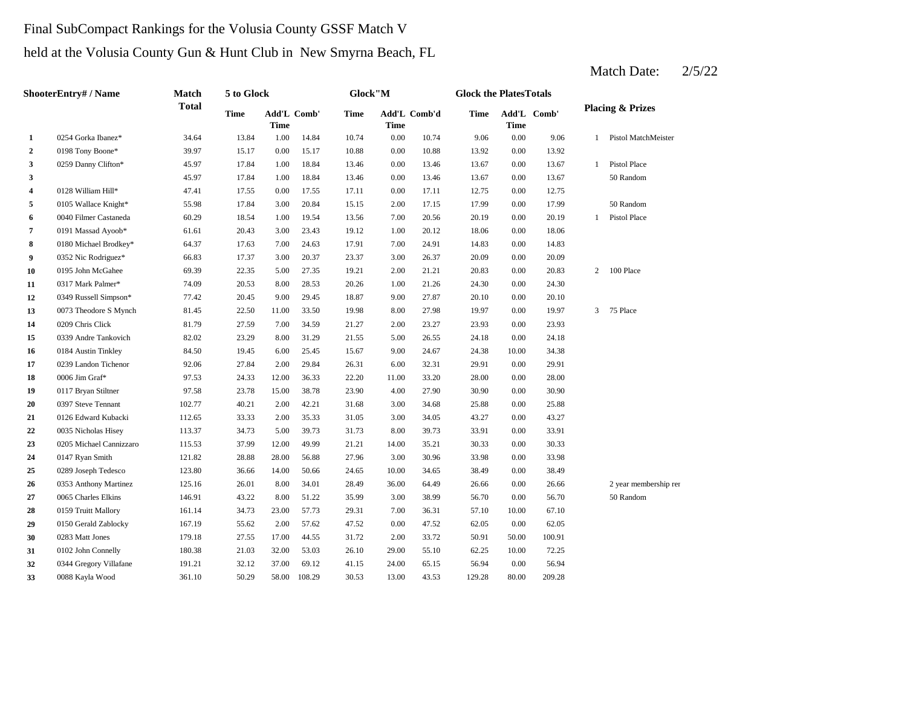# Final SubCompact Rankings for the Volusia County GSSF Match V

held at the Volusia County Gun & Hunt Club in New Smyrna Beach, FL

| ShooterEntry# / Name |                         | Match        | 5 to Glock |                            |        | Glock"M |          |              | <b>Glock the PlatesTotals</b> |             |             |                |                             |
|----------------------|-------------------------|--------------|------------|----------------------------|--------|---------|----------|--------------|-------------------------------|-------------|-------------|----------------|-----------------------------|
|                      |                         | <b>Total</b> | Time       | Add'L Comb'<br><b>Time</b> |        | Time    | Time     | Add'L Comb'd | Time                          | <b>Time</b> | Add'L Comb' |                | <b>Placing &amp; Prizes</b> |
| 1                    | 0254 Gorka Ibanez*      | 34.64        | 13.84      | 1.00                       | 14.84  | 10.74   | $0.00\,$ | 10.74        | 9.06                          | $0.00\,$    | 9.06        | $\mathbf{1}$   | Pistol MatchMeister         |
| $\overline{2}$       | 0198 Tony Boone*        | 39.97        | 15.17      | $0.00\,$                   | 15.17  | 10.88   | 0.00     | 10.88        | 13.92                         | 0.00        | 13.92       |                |                             |
| 3                    | 0259 Danny Clifton*     | 45.97        | 17.84      | 1.00                       | 18.84  | 13.46   | 0.00     | 13.46        | 13.67                         | 0.00        | 13.67       | $\mathbf{1}$   | Pistol Place                |
| 3                    |                         | 45.97        | 17.84      | 1.00                       | 18.84  | 13.46   | 0.00     | 13.46        | 13.67                         | 0.00        | 13.67       |                | 50 Random                   |
| 4                    | 0128 William Hill*      | 47.41        | 17.55      | 0.00                       | 17.55  | 17.11   | 0.00     | 17.11        | 12.75                         | 0.00        | 12.75       |                |                             |
| 5                    | 0105 Wallace Knight*    | 55.98        | 17.84      | 3.00                       | 20.84  | 15.15   | 2.00     | 17.15        | 17.99                         | 0.00        | 17.99       |                | 50 Random                   |
| 6                    | 0040 Filmer Castaneda   | 60.29        | 18.54      | 1.00                       | 19.54  | 13.56   | 7.00     | 20.56        | 20.19                         | 0.00        | 20.19       | $\mathbf{1}$   | Pistol Place                |
| 7                    | 0191 Massad Ayoob*      | 61.61        | 20.43      | 3.00                       | 23.43  | 19.12   | 1.00     | 20.12        | 18.06                         | 0.00        | 18.06       |                |                             |
| 8                    | 0180 Michael Brodkey*   | 64.37        | 17.63      | 7.00                       | 24.63  | 17.91   | 7.00     | 24.91        | 14.83                         | 0.00        | 14.83       |                |                             |
| 9                    | 0352 Nic Rodriguez*     | 66.83        | 17.37      | 3.00                       | 20.37  | 23.37   | 3.00     | 26.37        | 20.09                         | 0.00        | 20.09       |                |                             |
| 10                   | 0195 John McGahee       | 69.39        | 22.35      | 5.00                       | 27.35  | 19.21   | 2.00     | 21.21        | 20.83                         | 0.00        | 20.83       | $\overline{2}$ | 100 Place                   |
| 11                   | 0317 Mark Palmer*       | 74.09        | 20.53      | 8.00                       | 28.53  | 20.26   | 1.00     | 21.26        | 24.30                         | 0.00        | 24.30       |                |                             |
| 12                   | 0349 Russell Simpson*   | 77.42        | 20.45      | 9.00                       | 29.45  | 18.87   | 9.00     | 27.87        | 20.10                         | 0.00        | 20.10       |                |                             |
| 13                   | 0073 Theodore S Mynch   | 81.45        | 22.50      | 11.00                      | 33.50  | 19.98   | 8.00     | 27.98        | 19.97                         | 0.00        | 19.97       | $\mathbf{3}$   | 75 Place                    |
| 14                   | 0209 Chris Click        | 81.79        | 27.59      | 7.00                       | 34.59  | 21.27   | 2.00     | 23.27        | 23.93                         | 0.00        | 23.93       |                |                             |
| 15                   | 0339 Andre Tankovich    | 82.02        | 23.29      | 8.00                       | 31.29  | 21.55   | 5.00     | 26.55        | 24.18                         | 0.00        | 24.18       |                |                             |
| 16                   | 0184 Austin Tinkley     | 84.50        | 19.45      | 6.00                       | 25.45  | 15.67   | 9.00     | 24.67        | 24.38                         | 10.00       | 34.38       |                |                             |
| 17                   | 0239 Landon Tichenor    | 92.06        | 27.84      | 2.00                       | 29.84  | 26.31   | 6.00     | 32.31        | 29.91                         | 0.00        | 29.91       |                |                             |
| 18                   | 0006 Jim Graf*          | 97.53        | 24.33      | 12.00                      | 36.33  | 22.20   | 11.00    | 33.20        | 28.00                         | 0.00        | 28.00       |                |                             |
| 19                   | 0117 Bryan Stiltner     | 97.58        | 23.78      | 15.00                      | 38.78  | 23.90   | 4.00     | 27.90        | 30.90                         | 0.00        | 30.90       |                |                             |
| 20                   | 0397 Steve Tennant      | 102.77       | 40.21      | 2.00                       | 42.21  | 31.68   | 3.00     | 34.68        | 25.88                         | 0.00        | 25.88       |                |                             |
| 21                   | 0126 Edward Kubacki     | 112.65       | 33.33      | 2.00                       | 35.33  | 31.05   | 3.00     | 34.05        | 43.27                         | 0.00        | 43.27       |                |                             |
| 22                   | 0035 Nicholas Hisey     | 113.37       | 34.73      | 5.00                       | 39.73  | 31.73   | 8.00     | 39.73        | 33.91                         | 0.00        | 33.91       |                |                             |
| 23                   | 0205 Michael Cannizzaro | 115.53       | 37.99      | 12.00                      | 49.99  | 21.21   | 14.00    | 35.21        | 30.33                         | 0.00        | 30.33       |                |                             |
| 24                   | 0147 Ryan Smith         | 121.82       | 28.88      | 28.00                      | 56.88  | 27.96   | 3.00     | 30.96        | 33.98                         | 0.00        | 33.98       |                |                             |
| 25                   | 0289 Joseph Tedesco     | 123.80       | 36.66      | 14.00                      | 50.66  | 24.65   | 10.00    | 34.65        | 38.49                         | 0.00        | 38.49       |                |                             |
| 26                   | 0353 Anthony Martinez   | 125.16       | 26.01      | 8.00                       | 34.01  | 28.49   | 36.00    | 64.49        | 26.66                         | 0.00        | 26.66       |                | 2 year membership ren       |
| 27                   | 0065 Charles Elkins     | 146.91       | 43.22      | 8.00                       | 51.22  | 35.99   | 3.00     | 38.99        | 56.70                         | 0.00        | 56.70       |                | 50 Random                   |
| 28                   | 0159 Truitt Mallory     | 161.14       | 34.73      | 23.00                      | 57.73  | 29.31   | 7.00     | 36.31        | 57.10                         | 10.00       | 67.10       |                |                             |
| 29                   | 0150 Gerald Zablocky    | 167.19       | 55.62      | 2.00                       | 57.62  | 47.52   | 0.00     | 47.52        | 62.05                         | 0.00        | 62.05       |                |                             |
| 30                   | 0283 Matt Jones         | 179.18       | 27.55      | 17.00                      | 44.55  | 31.72   | 2.00     | 33.72        | 50.91                         | 50.00       | 100.91      |                |                             |
| 31                   | 0102 John Connelly      | 180.38       | 21.03      | 32.00                      | 53.03  | 26.10   | 29.00    | 55.10        | 62.25                         | 10.00       | 72.25       |                |                             |
| 32                   | 0344 Gregory Villafane  | 191.21       | 32.12      | 37.00                      | 69.12  | 41.15   | 24.00    | 65.15        | 56.94                         | 0.00        | 56.94       |                |                             |
| 33                   | 0088 Kayla Wood         | 361.10       | 50.29      | 58.00                      | 108.29 | 30.53   | 13.00    | 43.53        | 129.28                        | 80.00       | 209.28      |                |                             |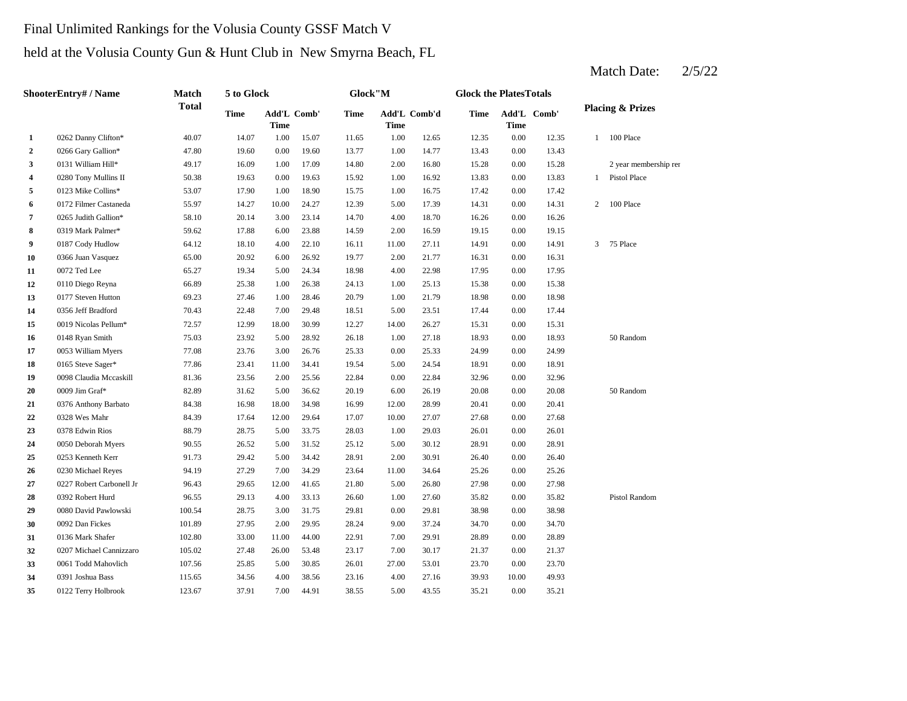# Final Unlimited Rankings for the Volusia County GSSF Match V

held at the Volusia County Gun & Hunt Club in New Smyrna Beach, FL

| ShooterEntry# / Name |                          | Match        | 5 to Glock |                                   |       | Glock"M |                             |       | <b>Glock the PlatesTotals</b> |             |             |                |                             |  |
|----------------------|--------------------------|--------------|------------|-----------------------------------|-------|---------|-----------------------------|-------|-------------------------------|-------------|-------------|----------------|-----------------------------|--|
|                      |                          | <b>Total</b> | Time       | <b>Add'L Comb'</b><br><b>Time</b> |       | Time    | Add'L Comb'd<br><b>Time</b> |       | Time                          | <b>Time</b> | Add'L Comb' |                | <b>Placing &amp; Prizes</b> |  |
| 1                    | 0262 Danny Clifton*      | 40.07        | 14.07      | 1.00                              | 15.07 | 11.65   | 1.00                        | 12.65 | 12.35                         | 0.00        | 12.35       | 1              | 100 Place                   |  |
| $\overline{2}$       | 0266 Gary Gallion*       | 47.80        | 19.60      | 0.00                              | 19.60 | 13.77   | 1.00                        | 14.77 | 13.43                         | $0.00\,$    | 13.43       |                |                             |  |
| 3                    | 0131 William Hill*       | 49.17        | 16.09      | 1.00                              | 17.09 | 14.80   | 2.00                        | 16.80 | 15.28                         | 0.00        | 15.28       |                | 2 year membership ren       |  |
| 4                    | 0280 Tony Mullins II     | 50.38        | 19.63      | 0.00                              | 19.63 | 15.92   | 1.00                        | 16.92 | 13.83                         | 0.00        | 13.83       | $\mathbf{1}$   | Pistol Place                |  |
| 5                    | 0123 Mike Collins*       | 53.07        | 17.90      | 1.00                              | 18.90 | 15.75   | 1.00                        | 16.75 | 17.42                         | 0.00        | 17.42       |                |                             |  |
| 6                    | 0172 Filmer Castaneda    | 55.97        | 14.27      | 10.00                             | 24.27 | 12.39   | 5.00                        | 17.39 | 14.31                         | $0.00\,$    | 14.31       | $\overline{2}$ | 100 Place                   |  |
| 7                    | 0265 Judith Gallion*     | 58.10        | 20.14      | 3.00                              | 23.14 | 14.70   | 4.00                        | 18.70 | 16.26                         | 0.00        | 16.26       |                |                             |  |
| 8                    | 0319 Mark Palmer*        | 59.62        | 17.88      | 6.00                              | 23.88 | 14.59   | 2.00                        | 16.59 | 19.15                         | 0.00        | 19.15       |                |                             |  |
| 9                    | 0187 Cody Hudlow         | 64.12        | 18.10      | 4.00                              | 22.10 | 16.11   | 11.00                       | 27.11 | 14.91                         | 0.00        | 14.91       | 3              | 75 Place                    |  |
| 10                   | 0366 Juan Vasquez        | 65.00        | 20.92      | 6.00                              | 26.92 | 19.77   | 2.00                        | 21.77 | 16.31                         | $0.00\,$    | 16.31       |                |                             |  |
| 11                   | 0072 Ted Lee             | 65.27        | 19.34      | 5.00                              | 24.34 | 18.98   | 4.00                        | 22.98 | 17.95                         | 0.00        | 17.95       |                |                             |  |
| 12                   | 0110 Diego Reyna         | 66.89        | 25.38      | 1.00                              | 26.38 | 24.13   | 1.00                        | 25.13 | 15.38                         | 0.00        | 15.38       |                |                             |  |
| 13                   | 0177 Steven Hutton       | 69.23        | 27.46      | 1.00                              | 28.46 | 20.79   | 1.00                        | 21.79 | 18.98                         | 0.00        | 18.98       |                |                             |  |
| 14                   | 0356 Jeff Bradford       | 70.43        | 22.48      | 7.00                              | 29.48 | 18.51   | 5.00                        | 23.51 | 17.44                         | 0.00        | 17.44       |                |                             |  |
| 15                   | 0019 Nicolas Pellum*     | 72.57        | 12.99      | 18.00                             | 30.99 | 12.27   | 14.00                       | 26.27 | 15.31                         | 0.00        | 15.31       |                |                             |  |
| 16                   | 0148 Ryan Smith          | 75.03        | 23.92      | 5.00                              | 28.92 | 26.18   | 1.00                        | 27.18 | 18.93                         | 0.00        | 18.93       |                | 50 Random                   |  |
| 17                   | 0053 William Myers       | 77.08        | 23.76      | 3.00                              | 26.76 | 25.33   | 0.00                        | 25.33 | 24.99                         | 0.00        | 24.99       |                |                             |  |
| 18                   | 0165 Steve Sager*        | 77.86        | 23.41      | 11.00                             | 34.41 | 19.54   | 5.00                        | 24.54 | 18.91                         | 0.00        | 18.91       |                |                             |  |
| 19                   | 0098 Claudia Mccaskill   | 81.36        | 23.56      | 2.00                              | 25.56 | 22.84   | 0.00                        | 22.84 | 32.96                         | 0.00        | 32.96       |                |                             |  |
| 20                   | 0009 Jim Graf*           | 82.89        | 31.62      | 5.00                              | 36.62 | 20.19   | 6.00                        | 26.19 | 20.08                         | 0.00        | 20.08       |                | 50 Random                   |  |
| 21                   | 0376 Anthony Barbato     | 84.38        | 16.98      | 18.00                             | 34.98 | 16.99   | 12.00                       | 28.99 | 20.41                         | 0.00        | 20.41       |                |                             |  |
| $22\,$               | 0328 Wes Mahr            | 84.39        | 17.64      | 12.00                             | 29.64 | 17.07   | 10.00                       | 27.07 | 27.68                         | 0.00        | 27.68       |                |                             |  |
| 23                   | 0378 Edwin Rios          | 88.79        | 28.75      | 5.00                              | 33.75 | 28.03   | 1.00                        | 29.03 | 26.01                         | 0.00        | 26.01       |                |                             |  |
| 24                   | 0050 Deborah Myers       | 90.55        | 26.52      | 5.00                              | 31.52 | 25.12   | 5.00                        | 30.12 | 28.91                         | 0.00        | 28.91       |                |                             |  |
| 25                   | 0253 Kenneth Kerr        | 91.73        | 29.42      | 5.00                              | 34.42 | 28.91   | 2.00                        | 30.91 | 26.40                         | 0.00        | 26.40       |                |                             |  |
| 26                   | 0230 Michael Reyes       | 94.19        | 27.29      | 7.00                              | 34.29 | 23.64   | 11.00                       | 34.64 | 25.26                         | 0.00        | 25.26       |                |                             |  |
| 27                   | 0227 Robert Carbonell Jr | 96.43        | 29.65      | 12.00                             | 41.65 | 21.80   | 5.00                        | 26.80 | 27.98                         | 0.00        | 27.98       |                |                             |  |
| 28                   | 0392 Robert Hurd         | 96.55        | 29.13      | 4.00                              | 33.13 | 26.60   | 1.00                        | 27.60 | 35.82                         | 0.00        | 35.82       |                | Pistol Random               |  |
| 29                   | 0080 David Pawlowski     | 100.54       | 28.75      | 3.00                              | 31.75 | 29.81   | 0.00                        | 29.81 | 38.98                         | 0.00        | 38.98       |                |                             |  |
| 30                   | 0092 Dan Fickes          | 101.89       | 27.95      | 2.00                              | 29.95 | 28.24   | 9.00                        | 37.24 | 34.70                         | 0.00        | 34.70       |                |                             |  |
| 31                   | 0136 Mark Shafer         | 102.80       | 33.00      | 11.00                             | 44.00 | 22.91   | 7.00                        | 29.91 | 28.89                         | 0.00        | 28.89       |                |                             |  |
| 32                   | 0207 Michael Cannizzaro  | 105.02       | 27.48      | 26.00                             | 53.48 | 23.17   | 7.00                        | 30.17 | 21.37                         | 0.00        | 21.37       |                |                             |  |
| 33                   | 0061 Todd Mahovlich      | 107.56       | 25.85      | 5.00                              | 30.85 | 26.01   | 27.00                       | 53.01 | 23.70                         | 0.00        | 23.70       |                |                             |  |
| 34                   | 0391 Joshua Bass         | 115.65       | 34.56      | 4.00                              | 38.56 | 23.16   | 4.00                        | 27.16 | 39.93                         | 10.00       | 49.93       |                |                             |  |
| 35                   | 0122 Terry Holbrook      | 123.67       | 37.91      | 7.00                              | 44.91 | 38.55   | 5.00                        | 43.55 | 35.21                         | 0.00        | 35.21       |                |                             |  |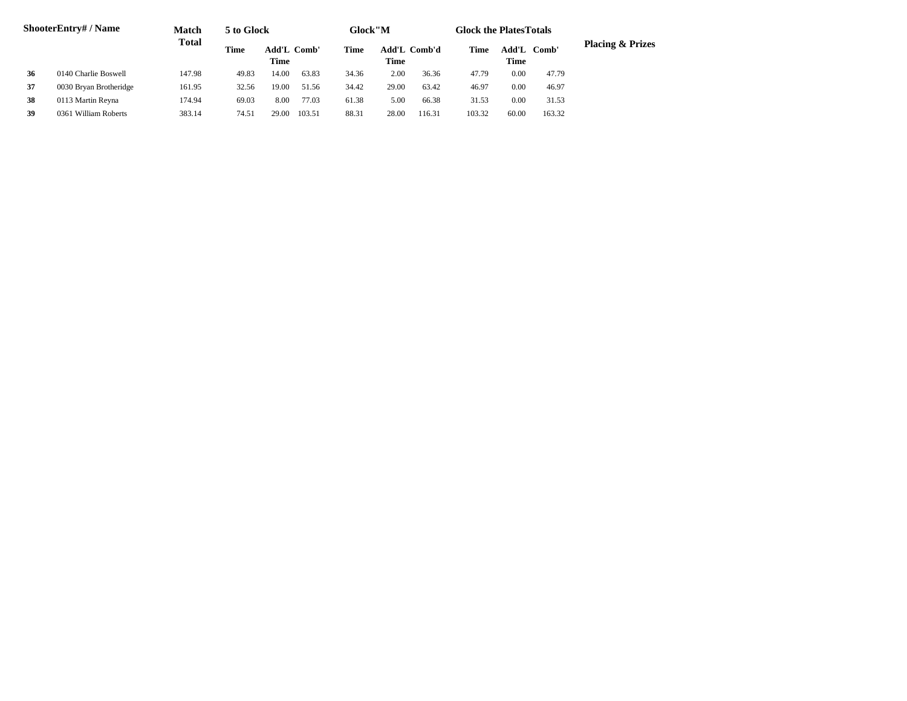|    | <b>ShooterEntry#/Name</b> | Match        | 5 to Glock |                            |        | Glock"M |       |                     |        | <b>Glock the PlatesTotals</b> |        |                             |
|----|---------------------------|--------------|------------|----------------------------|--------|---------|-------|---------------------|--------|-------------------------------|--------|-----------------------------|
|    |                           | <b>Total</b> | Time       | <b>Add'L Comb'</b><br>Time |        | Time    | Time  | <b>Add'L Comb'd</b> | Time   | Add'L<br>Time                 | Comb'  | <b>Placing &amp; Prizes</b> |
| 36 | 0140 Charlie Boswell      | 147.98       | 49.83      | 14.00                      | 63.83  | 34.36   | 2.00  | 36.36               | 47.79  | 0.00                          | 47.79  |                             |
| 37 | 0030 Bryan Brotheridge    | 161.95       | 32.56      | 19.00                      | 51.56  | 34.42   | 29.00 | 63.42               | 46.97  | 0.00                          | 46.97  |                             |
| 38 | 0113 Martin Reyna         | 174.94       | 69.03      | 8.00                       | 77.03  | 61.38   | 5.00  | 66.38               | 31.53  | 0.00                          | 31.53  |                             |
| 39 | 0361 William Roberts      | 383.14       | 74.51      | 29.00                      | 103.51 | 88.31   | 28.00 | 116.31              | 103.32 | 60.00                         | 163.32 |                             |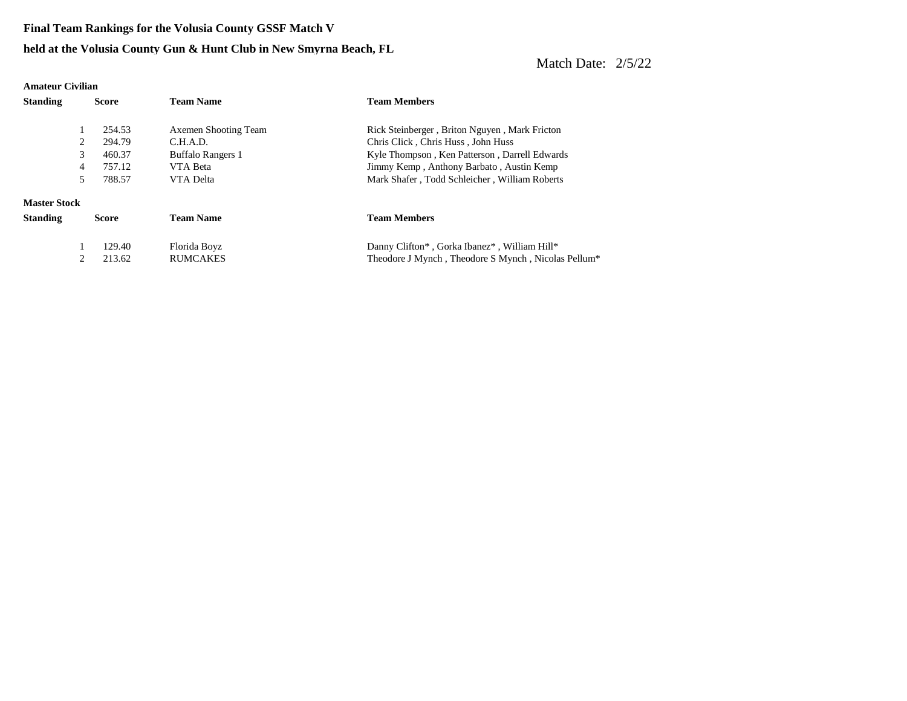**Final Team Rankings for the Volusia County GSSF Match V**

#### **held at the Volusia County Gun & Hunt Club in New Smyrna Beach, FL**

| <b>Amateur Civilian</b> |   |              |                          |                                                                 |
|-------------------------|---|--------------|--------------------------|-----------------------------------------------------------------|
| <b>Standing</b>         |   | <b>Score</b> | <b>Team Name</b>         | <b>Team Members</b>                                             |
|                         |   | 254.53       | Axemen Shooting Team     | Rick Steinberger, Briton Nguyen, Mark Fricton                   |
|                         | 2 | 294.79       | C.H.A.D.                 | Chris Click, Chris Huss, John Huss                              |
|                         | 3 | 460.37       | <b>Buffalo Rangers 1</b> | Kyle Thompson, Ken Patterson, Darrell Edwards                   |
|                         | 4 | 757.12       | VTA Beta                 | Jimmy Kemp, Anthony Barbato, Austin Kemp                        |
|                         | 5 | 788.57       | VTA Delta                | Mark Shafer, Todd Schleicher, William Roberts                   |
| <b>Master Stock</b>     |   |              |                          |                                                                 |
| <b>Standing</b>         |   | <b>Score</b> | <b>Team Name</b>         | <b>Team Members</b>                                             |
|                         |   | 129.40       | Florida Boyz             | Danny Clifton*, Gorka Ibanez*, William Hill*                    |
|                         | 2 | 213.62       | <b>RUMCAKES</b>          | Theodore J Mynch, Theodore S Mynch, Nicolas Pellum <sup>*</sup> |